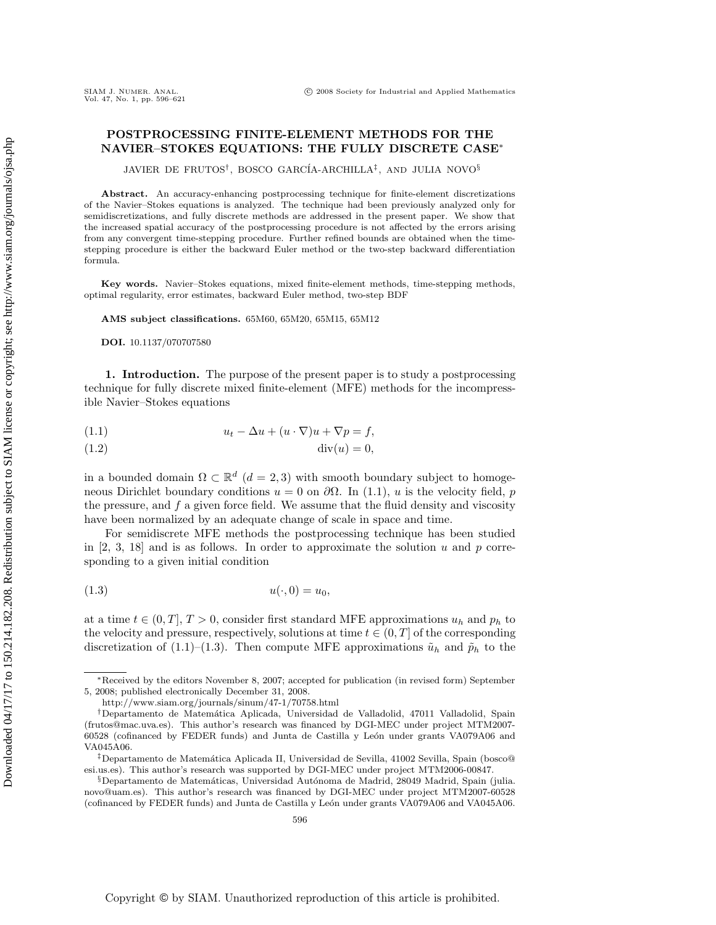# **POSTPROCESSING FINITE-ELEMENT METHODS FOR THE NAVIER–STOKES EQUATIONS: THE FULLY DISCRETE CASE**∗

JAVIER DE FRUTOS†, BOSCO GARC´IA-ARCHILLA‡, AND JULIA NOVO§

**Abstract.** An accuracy-enhancing postprocessing technique for finite-element discretizations of the Navier–Stokes equations is analyzed. The technique had been previously analyzed only for semidiscretizations, and fully discrete methods are addressed in the present paper. We show that the increased spatial accuracy of the postprocessing procedure is not affected by the errors arising from any convergent time-stepping procedure. Further refined bounds are obtained when the timestepping procedure is either the backward Euler method or the two-step backward differentiation formula.

**Key words.** Navier–Stokes equations, mixed finite-element methods, time-stepping methods, optimal regularity, error estimates, backward Euler method, two-step BDF

**AMS subject classifications.** 65M60, 65M20, 65M15, 65M12

**DOI.** 10.1137/070707580

**1. Introduction.** The purpose of the present paper is to study a postprocessing technique for fully discrete mixed finite-element (MFE) methods for the incompressible Navier–Stokes equations

$$
(1.1) \t\t u_t - \Delta u + (u \cdot \nabla)u + \nabla p = f,
$$

(1.2) div(u)=0,

in a bounded domain  $\Omega \subset \mathbb{R}^d$  ( $d = 2, 3$ ) with smooth boundary subject to homogeneous Dirichlet boundary conditions  $u = 0$  on  $\partial\Omega$ . In (1.1), u is the velocity field, p the pressure, and  $f$  a given force field. We assume that the fluid density and viscosity have been normalized by an adequate change of scale in space and time.

For semidiscrete MFE methods the postprocessing technique has been studied in  $[2, 3, 18]$  and is as follows. In order to approximate the solution u and p corresponding to a given initial condition

$$
(1.3) \t\t u(\cdot,0) = u_0,
$$

at a time  $t \in (0, T]$ ,  $T > 0$ , consider first standard MFE approximations  $u_h$  and  $p_h$  to the velocity and pressure, respectively, solutions at time  $t \in (0, T]$  of the corresponding discretization of (1.1)–(1.3). Then compute MFE approximations  $\tilde{u}_h$  and  $\tilde{p}_h$  to the

<sup>∗</sup>Received by the editors November 8, 2007; accepted for publication (in revised form) September 5, 2008; published electronically December 31, 2008.

http://www.siam.org/journals/sinum/47-1/70758.html

<sup>†</sup>Departamento de Matem´atica Aplicada, Universidad de Valladolid, 47011 Valladolid, Spain (frutos@mac.uva.es). This author's research was financed by DGI-MEC under project MTM2007- 60528 (cofinanced by FEDER funds) and Junta de Castilla y León under grants VA079A06 and VA045A06.

 $^{\ddagger}$ Departamento de Matemática Aplicada II, Universidad de Sevilla, 41002 Sevilla, Spain (bosco@ esi.us.es). This author's research was supported by DGI-MEC under project MTM2006-00847.

<sup>§</sup>Departamento de Matemáticas, Universidad Autónoma de Madrid, 28049 Madrid, Spain (julia. novo@uam.es). This author's research was financed by DGI-MEC under project MTM2007-60528 (cofinanced by FEDER funds) and Junta de Castilla y León under grants VA079A06 and VA045A06.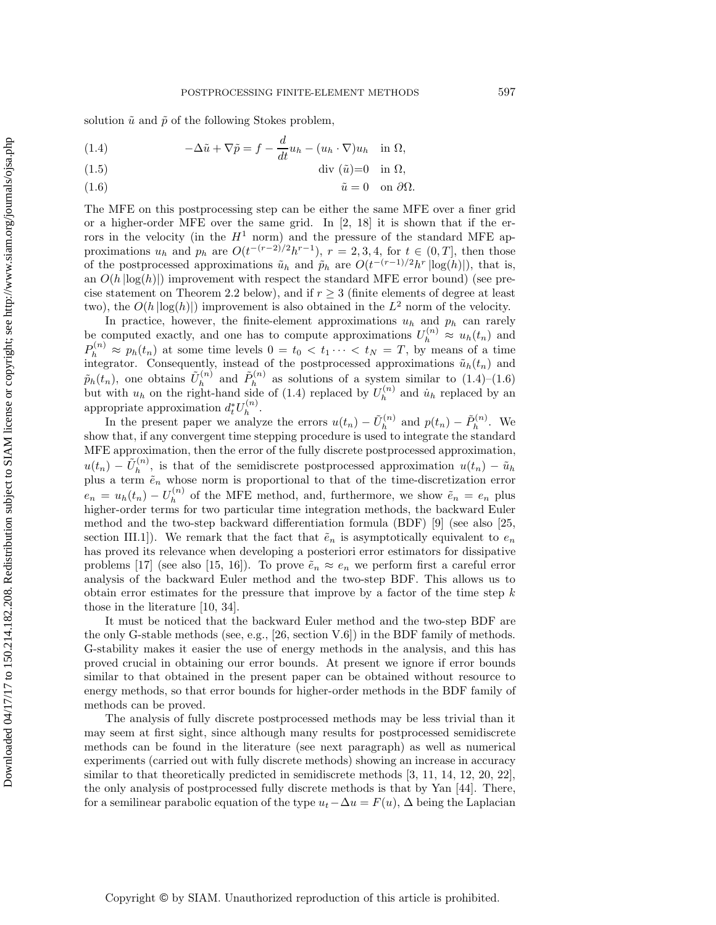solution  $\tilde{u}$  and  $\tilde{p}$  of the following Stokes problem,

(1.4) 
$$
-\Delta \tilde{u} + \nabla \tilde{p} = f - \frac{d}{dt} u_h - (u_h \cdot \nabla) u_h \quad \text{in } \Omega,
$$

(1.5) div (˜u)=0 in Ω,

(1.6) u˜ = 0 on ∂Ω.

The MFE on this postprocessing step can be either the same MFE over a finer grid or a higher-order MFE over the same grid. In  $[2, 18]$  it is shown that if the errors in the velocity (in the  $H^1$  norm) and the pressure of the standard MFE approximations  $u_h$  and  $p_h$  are  $O(t^{-(r-2)/2}h^{r-1})$ ,  $r = 2, 3, 4$ , for  $t \in (0, T]$ , then those of the postprocessed approximations  $\tilde{u}_h$  and  $\rho_h$  are  $O(t^{-(r-1)/2}h^r|\log(h)|)$ , that is, an  $O(h |log(h)|)$  improvement with respect the standard MFE error bound) (see precise statement on Theorem 2.2 below), and if  $r \geq 3$  (finite elements of degree at least two), the  $O(h |\log(h)|)$  improvement is also obtained in the  $L^2$  norm of the velocity.

In practice, however, the finite-element approximations  $u_h$  and  $p_h$  can rarely be computed exactly, and one has to compute approximations  $U_h^{(n)} \approx u_h(t_n)$  and  $P_h^{(n)} \approx p_h(t_n)$  at some time levels  $0 = t_0 < t_1 \cdots < t_N = T$ , by means of a time integrator. Consequently, instead of the postprocessed approximations  $\tilde{u}_h(t_n)$  and  $\tilde{p}_h(t_n)$ , one obtains  $\tilde{U}_h^{(n)}$  and  $\tilde{P}_h^{(n)}$  as solutions of a system similar to (1.4)–(1.6) but with  $u_h$  on the right-hand side of (1.4) replaced by  $U_h^{(n)}$  and  $\dot{u}_h$  replaced by an appropriate approximation  $d_t^* U_h^{(n)}$ .

In the present paper we analyze the errors  $u(t_n) - \tilde{U}_h^{(n)}$  and  $p(t_n) - \tilde{P}_h^{(n)}$ . We show that, if any convergent time stepping procedure is used to integrate the standard MFE approximation, then the error of the fully discrete postprocessed approximation,  $u(t_n) - \tilde{U}_h^{(n)}$ , is that of the semidiscrete postprocessed approximation  $u(t_n) - \tilde{u}_h$ plus a term  $\tilde{e}_n$  whose norm is proportional to that of the time-discretization error  $e_n = u_h(t_n) - U_h^{(n)}$  of the MFE method, and, furthermore, we show  $\tilde{e}_n = e_n$  plus higher-order terms for two particular time integration methods, the backward Euler method and the two-step backward differentiation formula (BDF) [9] (see also [25, section III.1]). We remark that the fact that  $\tilde{e}_n$  is asymptotically equivalent to  $e_n$ has proved its relevance when developing a posteriori error estimators for dissipative problems [17] (see also [15, 16]). To prove  $\tilde{e}_n \approx e_n$  we perform first a careful error analysis of the backward Euler method and the two-step BDF. This allows us to obtain error estimates for the pressure that improve by a factor of the time step  $k$ those in the literature [10, 34].

It must be noticed that the backward Euler method and the two-step BDF are the only G-stable methods (see, e.g., [26, section V.6]) in the BDF family of methods. G-stability makes it easier the use of energy methods in the analysis, and this has proved crucial in obtaining our error bounds. At present we ignore if error bounds similar to that obtained in the present paper can be obtained without resource to energy methods, so that error bounds for higher-order methods in the BDF family of methods can be proved.

The analysis of fully discrete postprocessed methods may be less trivial than it may seem at first sight, since although many results for postprocessed semidiscrete methods can be found in the literature (see next paragraph) as well as numerical experiments (carried out with fully discrete methods) showing an increase in accuracy similar to that theoretically predicted in semidiscrete methods [3, 11, 14, 12, 20, 22], the only analysis of postprocessed fully discrete methods is that by Yan [44]. There, for a semilinear parabolic equation of the type  $u_t-\Delta u = F(u)$ ,  $\Delta$  being the Laplacian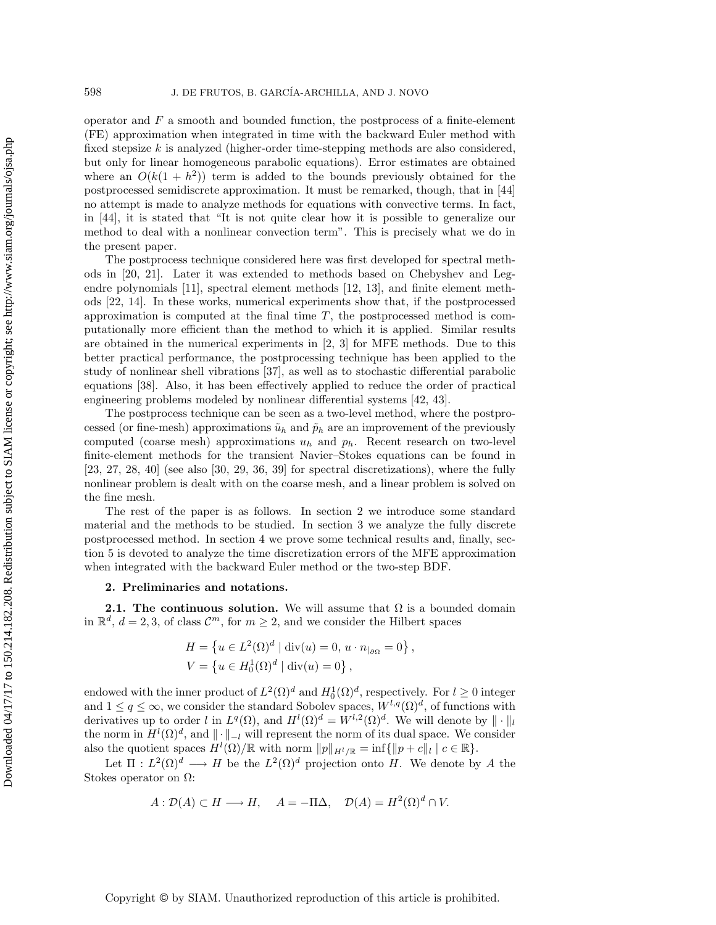operator and  $F$  a smooth and bounded function, the postprocess of a finite-element (FE) approximation when integrated in time with the backward Euler method with fixed stepsize  $k$  is analyzed (higher-order time-stepping methods are also considered, but only for linear homogeneous parabolic equations). Error estimates are obtained where an  $O(k(1 + h^2))$  term is added to the bounds previously obtained for the postprocessed semidiscrete approximation. It must be remarked, though, that in [44] no attempt is made to analyze methods for equations with convective terms. In fact, in [44], it is stated that "It is not quite clear how it is possible to generalize our method to deal with a nonlinear convection term". This is precisely what we do in the present paper.

The postprocess technique considered here was first developed for spectral methods in [20, 21]. Later it was extended to methods based on Chebyshev and Legendre polynomials [11], spectral element methods [12, 13], and finite element methods [22, 14]. In these works, numerical experiments show that, if the postprocessed approximation is computed at the final time  $T$ , the postprocessed method is computationally more efficient than the method to which it is applied. Similar results are obtained in the numerical experiments in [2, 3] for MFE methods. Due to this better practical performance, the postprocessing technique has been applied to the study of nonlinear shell vibrations [37], as well as to stochastic differential parabolic equations [38]. Also, it has been effectively applied to reduce the order of practical engineering problems modeled by nonlinear differential systems [42, 43].

The postprocess technique can be seen as a two-level method, where the postprocessed (or fine-mesh) approximations  $\tilde{u}_h$  and  $\tilde{p}_h$  are an improvement of the previously computed (coarse mesh) approximations  $u_h$  and  $p_h$ . Recent research on two-level finite-element methods for the transient Navier–Stokes equations can be found in  $[23, 27, 28, 40]$  (see also  $[30, 29, 36, 39]$  for spectral discretizations), where the fully nonlinear problem is dealt with on the coarse mesh, and a linear problem is solved on the fine mesh.

The rest of the paper is as follows. In section 2 we introduce some standard material and the methods to be studied. In section 3 we analyze the fully discrete postprocessed method. In section 4 we prove some technical results and, finally, section 5 is devoted to analyze the time discretization errors of the MFE approximation when integrated with the backward Euler method or the two-step BDF.

## **2. Preliminaries and notations.**

**2.1. The continuous solution.** We will assume that  $\Omega$  is a bounded domain in  $\mathbb{R}^d$ ,  $d = 2, 3$ , of class  $\mathcal{C}^m$ , for  $m \geq 2$ , and we consider the Hilbert spaces

$$
H = \{ u \in L^{2}(\Omega)^{d} \mid \text{div}(u) = 0, \, u \cdot n_{|\partial \Omega} = 0 \},
$$
  

$$
V = \{ u \in H_{0}^{1}(\Omega)^{d} \mid \text{div}(u) = 0 \},
$$

endowed with the inner product of  $L^2(\Omega)^d$  and  $H_0^1(\Omega)^d$ , respectively. For  $l \geq 0$  integer and  $1 \leq q \leq \infty$ , we consider the standard Sobolev spaces,  $W^{l,q}(\Omega)^d$ , of functions with derivatives up to order l in  $L^q(\Omega)$ , and  $H^l(\Omega)^d = W^{l,2}(\Omega)^d$ . We will denote by  $\|\cdot\|_l$ the norm in  $H^l(\Omega)^d$ , and  $\|\cdot\|_{-l}$  will represent the norm of its dual space. We consider also the quotient spaces  $H^l(\Omega)/\mathbb{R}$  with norm  $||p||_{H^l/\mathbb{R}} = \inf \{ ||p+c||_l | c \in \mathbb{R} \}.$ 

Let  $\Pi: L^2(\Omega)^d \longrightarrow H$  be the  $L^2(\Omega)^d$  projection onto H. We denote by A the Stokes operator on Ω:

$$
A: \mathcal{D}(A) \subset H \longrightarrow H, \quad A = -\Pi \Delta, \quad \mathcal{D}(A) = H^2(\Omega)^d \cap V.
$$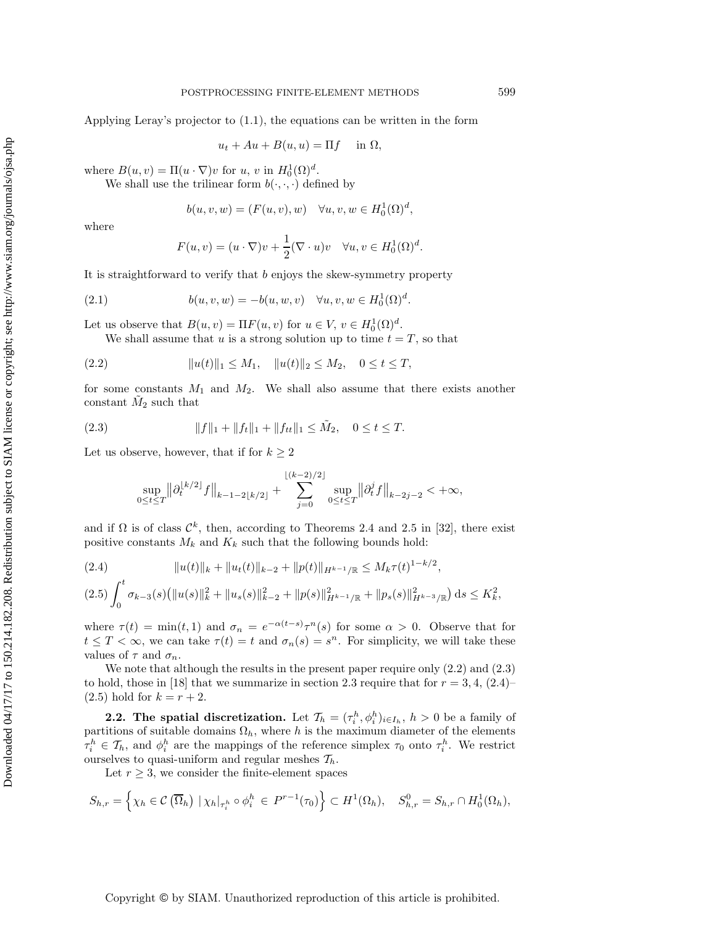Applying Leray's projector to (1.1), the equations can be written in the form

$$
u_t + Au + B(u, u) = \Pi f \quad \text{in } \Omega,
$$

where  $B(u, v) = \Pi(u \cdot \nabla)v$  for  $u, v$  in  $H_0^1(\Omega)^d$ .

We shall use the trilinear form  $b(\cdot, \cdot, \cdot)$  defined by

$$
b(u, v, w) = (F(u, v), w) \quad \forall u, v, w \in H_0^1(\Omega)^d,
$$

where

$$
F(u, v) = (u \cdot \nabla)v + \frac{1}{2}(\nabla \cdot u)v \quad \forall u, v \in H_0^1(\Omega)^d.
$$

It is straightforward to verify that  $b$  enjoys the skew-symmetry property

(2.1) 
$$
b(u, v, w) = -b(u, w, v) \quad \forall u, v, w \in H_0^1(\Omega)^d.
$$

Let us observe that  $B(u, v) = \Pi F(u, v)$  for  $u \in V$ ,  $v \in H_0^1(\Omega)^d$ .

We shall assume that u is a strong solution up to time  $t = T$ , so that

$$
(2.2) \t\t\t ||u(t)||_1 \le M_1, \t ||u(t)||_2 \le M_2, \t 0 \le t \le T,
$$

for some constants  $M_1$  and  $M_2$ . We shall also assume that there exists another constant  $M_2$  such that

(2.3) 
$$
||f||_1 + ||f_t||_1 + ||f_{tt}||_1 \leq \tilde{M}_2, \quad 0 \leq t \leq T.
$$

Let us observe, however, that if for  $k \geq 2$ 

$$
\sup_{0\leq t\leq T}\bigl\|\partial_t^{\lfloor k/2\rfloor} f\bigr\|_{k-1-2\lfloor k/2\rfloor}+\sum_{j=0}^{\lfloor (k-2)/2\rfloor}\sup_{0\leq t\leq T}\bigl\|\partial_t^{j} f\bigr\|_{k-2j-2}<+\infty,
$$

and if  $\Omega$  is of class  $\mathcal{C}^k$ , then, according to Theorems 2.4 and 2.5 in [32], there exist positive constants  $M_k$  and  $K_k$  such that the following bounds hold:

$$
(2.4) \t\t ||u(t)||_{k} + ||u_{t}(t)||_{k-2} + ||p(t)||_{H^{k-1}/\mathbb{R}} \le M_{k}\tau(t)^{1-k/2},
$$
  

$$
(2.5) \int_{0}^{t} \sigma_{k-3}(s) (||u(s)||_{k}^{2} + ||u_{s}(s)||_{k-2}^{2} + ||p(s)||_{H^{k-1}/\mathbb{R}}^{2} + ||p_{s}(s)||_{H^{k-3}/\mathbb{R}}^{2}) ds \le K_{k}^{2},
$$

where  $\tau(t) = \min(t, 1)$  and  $\sigma_n = e^{-\alpha(t-s)} \tau^n(s)$  for some  $\alpha > 0$ . Observe that for  $t \leq T < \infty$ , we can take  $\tau(t) = t$  and  $\sigma_n(s) = s^n$ . For simplicity, we will take these values of  $\tau$  and  $\sigma_n$ .

We note that although the results in the present paper require only (2.2) and (2.3) to hold, those in [18] that we summarize in section 2.3 require that for  $r = 3, 4, (2.4)$  $(2.5)$  hold for  $k = r + 2$ .

**2.2.** The spatial discretization. Let  $\mathcal{T}_h = (\tau_i^h, \phi_i^h)_{i \in I_h}$ ,  $h > 0$  be a family of partitions of suitable domains  $\Omega_h$ , where h is the maximum diameter of the elements  $\tau_i^h \in \mathcal{T}_h$ , and  $\phi_i^h$  are the mappings of the reference simplex  $\tau_0$  onto  $\tau_i^h$ . We restrict ourselves to quasi-uniform and regular meshes  $\mathcal{T}_h$ .

Let  $r \geq 3$ , we consider the finite-element spaces

$$
S_{h,r} = \left\{ \chi_h \in \mathcal{C} \left( \overline{\Omega}_h \right) \mid \chi_h \mid_{\tau_i^h} \circ \phi_i^h \in P^{r-1}(\tau_0) \right\} \subset H^1(\Omega_h), \quad S_{h,r}^0 = S_{h,r} \cap H_0^1(\Omega_h),
$$

Copyright © by SIAM. Unauthorized reproduction of this article is prohibited.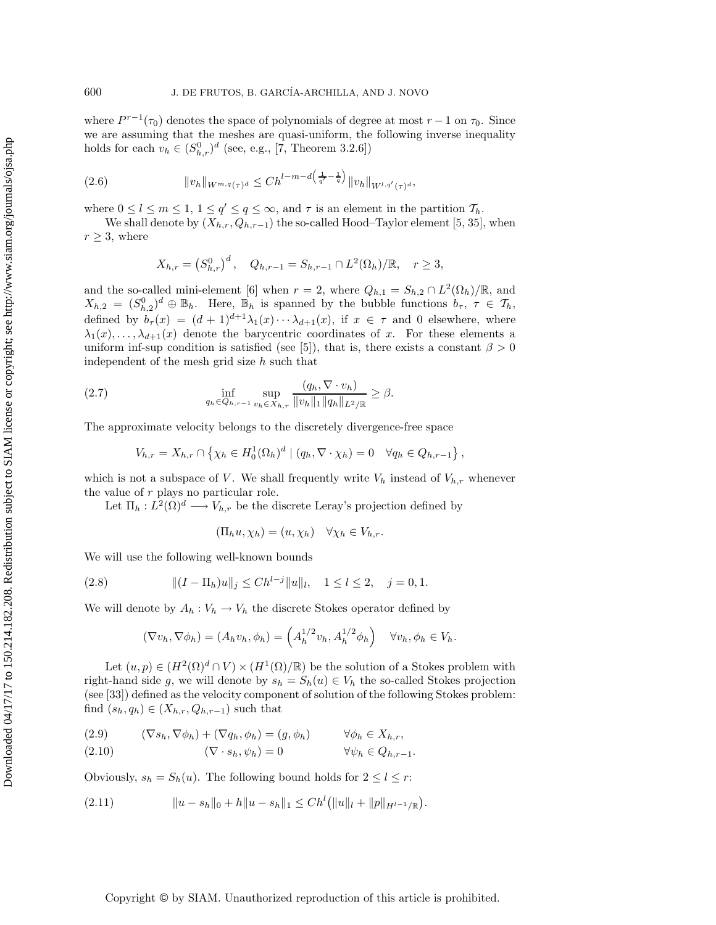where  $P^{r-1}(\tau_0)$  denotes the space of polynomials of degree at most  $r-1$  on  $\tau_0$ . Since we are assuming that the meshes are quasi-uniform, the following inverse inequality holds for each  $v_h \in (S_{h,r}^0)^d$  (see, e.g., [7, Theorem 3.2.6])

(2.6) 
$$
||v_h||_{W^{m,q}(\tau)^d} \leq Ch^{l-m-d\left(\frac{1}{q'}-\frac{1}{q}\right)}||v_h||_{W^{l,q'}(\tau)^d},
$$

where  $0 \leq l \leq m \leq 1, 1 \leq q' \leq q \leq \infty$ , and  $\tau$  is an element in the partition  $\mathcal{T}_h$ .

We shall denote by  $(X_{h,r}, Q_{h,r-1})$  the so-called Hood–Taylor element [5, 35], when  $r \geq 3$ , where

$$
X_{h,r} = (S_{h,r}^0)^d
$$
,  $Q_{h,r-1} = S_{h,r-1} \cap L^2(\Omega_h)/\mathbb{R}$ ,  $r \ge 3$ ,

and the so-called mini-element [6] when  $r = 2$ , where  $Q_{h,1} = S_{h,2} \cap L^2(\Omega_h)/\mathbb{R}$ , and  $X_{h,2} = (S_{h,2}^0)^d \oplus \mathbb{B}_h$ . Here,  $\mathbb{B}_h$  is spanned by the bubble functions  $b_\tau$ ,  $\tau \in \mathcal{T}_h$ , defined by  $b_{\tau}(x)=(d + 1)^{d+1}\lambda_1(x)\cdots\lambda_{d+1}(x)$ , if  $x \in \tau$  and 0 elsewhere, where  $\lambda_1(x),\ldots,\lambda_{d+1}(x)$  denote the barycentric coordinates of x. For these elements a uniform inf-sup condition is satisfied (see [5]), that is, there exists a constant  $\beta > 0$ independent of the mesh grid size  $h$  such that

(2.7) 
$$
\inf_{q_h \in Q_{h,r-1}} \sup_{v_h \in X_{h,r}} \frac{(q_h, \nabla \cdot v_h)}{\|v_h\|_1 \|q_h\|_{L^2/\mathbb{R}}} \geq \beta.
$$

The approximate velocity belongs to the discretely divergence-free space

$$
V_{h,r} = X_{h,r} \cap \left\{ \chi_h \in H_0^1(\Omega_h)^d \mid (q_h, \nabla \cdot \chi_h) = 0 \quad \forall q_h \in Q_{h,r-1} \right\},\
$$

which is not a subspace of V. We shall frequently write  $V_h$  instead of  $V_{h,r}$  whenever the value of  $r$  plays no particular role.

Let  $\Pi_h: L^2(\Omega)^d \longrightarrow V_{h,r}$  be the discrete Leray's projection defined by

$$
(\Pi_h u, \chi_h) = (u, \chi_h) \quad \forall \chi_h \in V_{h,r}.
$$

We will use the following well-known bounds

(2.8) 
$$
\|(I - \Pi_h)u\|_j \leq Ch^{l-j} \|u\|_l, \quad 1 \leq l \leq 2, \quad j = 0, 1.
$$

We will denote by  $A_h: V_h \to V_h$  the discrete Stokes operator defined by

$$
(\nabla v_h, \nabla \phi_h) = (A_h v_h, \phi_h) = \left(A_h^{1/2} v_h, A_h^{1/2} \phi_h\right) \quad \forall v_h, \phi_h \in V_h.
$$

Let  $(u, p) \in (H^2(\Omega)^d \cap V) \times (H^1(\Omega)/\mathbb{R})$  be the solution of a Stokes problem with right-hand side g, we will denote by  $s_h = S_h(u) \in V_h$  the so-called Stokes projection (see [33]) defined as the velocity component of solution of the following Stokes problem: find  $(s_h, q_h) \in (X_{h,r}, Q_{h,r-1})$  such that

$$
(2.9) \qquad (\nabla s_h, \nabla \phi_h) + (\nabla q_h, \phi_h) = (g, \phi_h) \qquad \forall \phi_h \in X_{h,r},
$$

$$
(2.10) \t\t (\nabla \cdot s_h, \psi_h) = 0 \t\t \forall \psi_h \in Q_{h,r-1}.
$$

Obviously,  $s_h = S_h(u)$ . The following bound holds for  $2 \leq l \leq r$ :

(2.11) <sup>u</sup> <sup>−</sup> <sup>s</sup><sup>h</sup> <sup>0</sup> <sup>+</sup> <sup>h</sup> <sup>u</sup> <sup>−</sup> <sup>s</sup><sup>h</sup> <sup>1</sup> <sup>≤</sup> Ch<sup>l</sup> u <sup>l</sup> + p <sup>H</sup>*l*−1/<sup>R</sup> .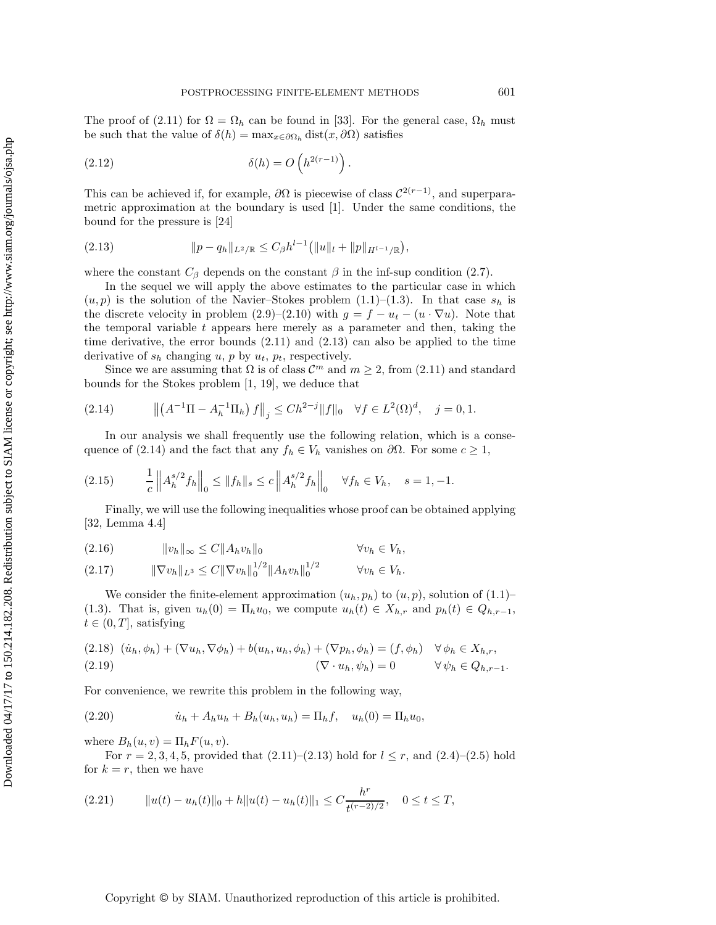The proof of (2.11) for  $\Omega = \Omega_h$  can be found in [33]. For the general case,  $\Omega_h$  must be such that the value of  $\delta(h) = \max_{x \in \partial \Omega_h} \text{dist}(x, \partial \Omega)$  satisfies

(2.12) 
$$
\delta(h) = O\left(h^{2(r-1)}\right).
$$

This can be achieved if, for example,  $\partial\Omega$  is piecewise of class  $\mathcal{C}^{2(r-1)}$ , and superparametric approximation at the boundary is used [1]. Under the same conditions, the bound for the pressure is [24]

$$
(2.13) \t\t\t ||p - q_h||_{L^2/\mathbb{R}} \leq C_\beta h^{l-1} (||u||_l + ||p||_{H^{l-1}/\mathbb{R}}),
$$

where the constant  $C_\beta$  depends on the constant  $\beta$  in the inf-sup condition (2.7).

In the sequel we will apply the above estimates to the particular case in which  $(u, p)$  is the solution of the Navier–Stokes problem  $(1.1)$ – $(1.3)$ . In that case  $s_h$  is the discrete velocity in problem  $(2.9)$ – $(2.10)$  with  $g = f - u_t - (u \cdot \nabla u)$ . Note that the temporal variable t appears here merely as a parameter and then, taking the time derivative, the error bounds (2.11) and (2.13) can also be applied to the time derivative of  $s_h$  changing u, p by  $u_t$ ,  $p_t$ , respectively.

Since we are assuming that  $\Omega$  is of class  $\mathcal{C}^m$  and  $m \geq 2$ , from (2.11) and standard bounds for the Stokes problem [1, 19], we deduce that

(2.14) 
$$
\left\| \left( A^{-1} \Pi - A_h^{-1} \Pi_h \right) f \right\|_j \leq C h^{2-j} \| f \|_0 \quad \forall f \in L^2(\Omega)^d, \quad j = 0, 1.
$$

In our analysis we shall frequently use the following relation, which is a consequence of (2.14) and the fact that any  $f_h \in V_h$  vanishes on  $\partial\Omega$ . For some  $c \geq 1$ ,

$$
(2.15) \t \frac{1}{c} \|A_h^{s/2} f_h\|_0 \le \|f_h\|_s \le c \|A_h^{s/2} f_h\|_0 \quad \forall f_h \in V_h, \quad s = 1, -1.
$$

Finally, we will use the following inequalities whose proof can be obtained applying [32, Lemma 4.4]

$$
(2.16) \t\t\t ||v_h||_{\infty} \le C||A_h v_h||_0 \t\t\t \forall v_h \in V_h,
$$

$$
(2.17) \t\t ||\nabla v_h||_{L^3} \leq C ||\nabla v_h||_0^{1/2} ||A_h v_h||_0^{1/2} \t\t \forall v_h \in V_h.
$$

We consider the finite-element approximation  $(u_h, p_h)$  to  $(u, p)$ , solution of  $(1.1)$ – (1.3). That is, given  $u_h(0) = \Pi_h u_0$ , we compute  $u_h(t) \in X_{h,r}$  and  $p_h(t) \in Q_{h,r-1}$ ,  $t \in (0, T]$ , satisfying

(2.18) 
$$
(\dot{u}_h, \phi_h) + (\nabla u_h, \nabla \phi_h) + b(u_h, u_h, \phi_h) + (\nabla p_h, \phi_h) = (f, \phi_h) \quad \forall \phi_h \in X_{h,r},
$$
  
(2.19) 
$$
(\nabla \cdot u_h, \psi_h) = 0 \qquad \forall \psi_h \in Q_{h,r-1}.
$$

For convenience, we rewrite this problem in the following way,

(2.20) 
$$
\dot{u}_h + A_h u_h + B_h(u_h, u_h) = \Pi_h f, \quad u_h(0) = \Pi_h u_0,
$$

where  $B_h(u, v) = \prod_h F(u, v)$ .

For  $r = 2, 3, 4, 5$ , provided that  $(2.11)$ – $(2.13)$  hold for  $l \leq r$ , and  $(2.4)$ – $(2.5)$  hold for  $k = r$ , then we have

$$
(2.21) \t\t ||u(t) - uh(t)||0 + h||u(t) - uh(t)||1 \le C \frac{h^r}{t^{(r-2)/2}}, \quad 0 \le t \le T,
$$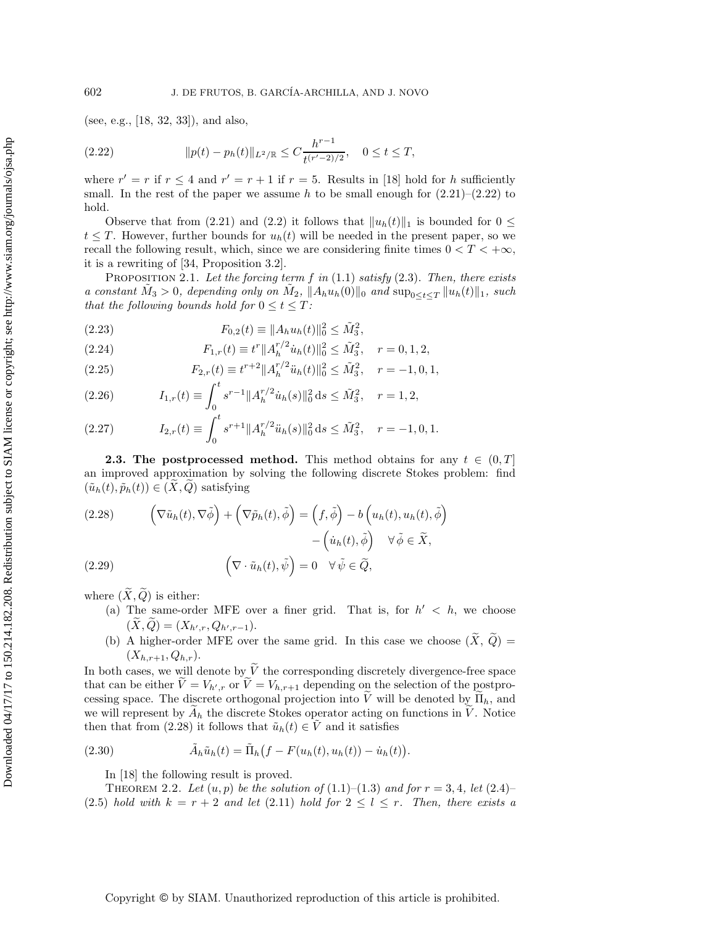(see, e.g., [18, 32, 33]), and also,

(2.22) 
$$
||p(t) - p_h(t)||_{L^2/\mathbb{R}} \leq C \frac{h^{r-1}}{t^{(r'-2)/2}}, \quad 0 \leq t \leq T,
$$

where  $r' = r$  if  $r \le 4$  and  $r' = r + 1$  if  $r = 5$ . Results in [18] hold for h sufficiently small. In the rest of the paper we assume h to be small enough for  $(2.21)$ – $(2.22)$  to hold.

Observe that from (2.21) and (2.2) it follows that  $||u_h(t)||_1$  is bounded for  $0 \le$  $t \leq T$ . However, further bounds for  $u_h(t)$  will be needed in the present paper, so we recall the following result, which, since we are considering finite times  $0 < T < +\infty$ , it is a rewriting of [34, Proposition 3.2].

Proposition 2.1. *Let the forcing term* f *in* (1.1) *satisfy* (2.3). *Then, there exists a constant*  $M_3 > 0$ *, depending only on*  $M_2$ ,  $\|A_h u_h(0)\|_0$  *and*  $\sup_{0 \leq t \leq T} \|u_h(t)\|_1$ *, such that the following bounds hold for*  $0 \le t \le T$ *:* 

(2.23) 
$$
F_{0,2}(t) \equiv ||A_h u_h(t)||_0^2 \le \tilde{M}_3^2,
$$

(2.24) 
$$
F_{1,r}(t) \equiv t^r \|A_h^{r/2} \dot{u}_h(t)\|_0^2 \le \tilde{M}_3^2, \quad r = 0, 1, 2,
$$

(2.25) 
$$
F_{2,r}(t) \equiv t^{r+2} ||A_h^{r/2} \ddot{u}_h(t)||_0^2 \leq \tilde{M}_3^2, \quad r = -1, 0, 1,
$$

(2.26) 
$$
I_{1,r}(t) \equiv \int_0^t s^{r-1} \|A_h^{r/2} \dot{u}_h(s)\|_0^2 ds \le \tilde{M}_3^2, \quad r = 1, 2,
$$

(2.27) 
$$
I_{2,r}(t) \equiv \int_0^t s^{r+1} \|A_h^{r/2}\ddot{u}_h(s)\|_0^2 ds \le \tilde{M}_3^2, \quad r = -1, 0, 1.
$$

**2.3. The postprocessed method.** This method obtains for any  $t \in (0, T]$ an improved approximation by solving the following discrete Stokes problem: find  $(\tilde{u}_h(t), \tilde{p}_h(t)) \in (X, Q)$  satisfying

(2.28) 
$$
\left(\nabla \tilde{u}_h(t), \nabla \tilde{\phi}\right) + \left(\nabla \tilde{p}_h(t), \tilde{\phi}\right) = \left(f, \tilde{\phi}\right) - b\left(u_h(t), u_h(t), \tilde{\phi}\right) - \left(\dot{u}_h(t), \tilde{\phi}\right) \quad \forall \tilde{\phi} \in \tilde{X},
$$
  
(2.29) 
$$
\left(\nabla \cdot \tilde{u}_h(t), \tilde{\psi}\right) = 0 \quad \forall \tilde{\psi} \in \tilde{Q},
$$

where  $(\widetilde{X}, \widetilde{Q})$  is either:

- (a) The same-order MFE over a finer grid. That is, for  $h' < h$ , we choose  $(X, Q) = (X_{h',r}, Q_{h',r-1}).$
- (b) A higher-order MFE over the same grid. In this case we choose  $(\tilde{X}, \tilde{Q}) =$  $(X_{h,r+1}, Q_{h,r}).$

In both cases, we will denote by  $\widetilde{V}$  the corresponding discretely divergence-free space that can be either  $V = V_{h',r}$  or  $V = V_{h,r+1}$  depending on the selection of the postprocessing space. The discrete orthogonal projection into V will be denoted by  $\Pi_h$ , and we will represent by  $\tilde{A}_h$  the discrete Stokes operator acting on functions in  $\tilde{V}$ . Notice then that from (2.28) it follows that  $\tilde{u}_h(t) \in \tilde{V}$  and it satisfies

(2.30) 
$$
\tilde{A}_h \tilde{u}_h(t) = \tilde{\Pi}_h \big(f - F(u_h(t), u_h(t)) - \dot{u}_h(t)\big).
$$

In [18] the following result is proved.

THEOREM 2.2. Let  $(u, p)$  be the solution of  $(1.1)$ – $(1.3)$  and for  $r = 3, 4$ , let  $(2.4)$ – (2.5) *hold with*  $k = r + 2$  *and let* (2.11) *hold for*  $2 \leq l \leq r$ *. Then, there exists a*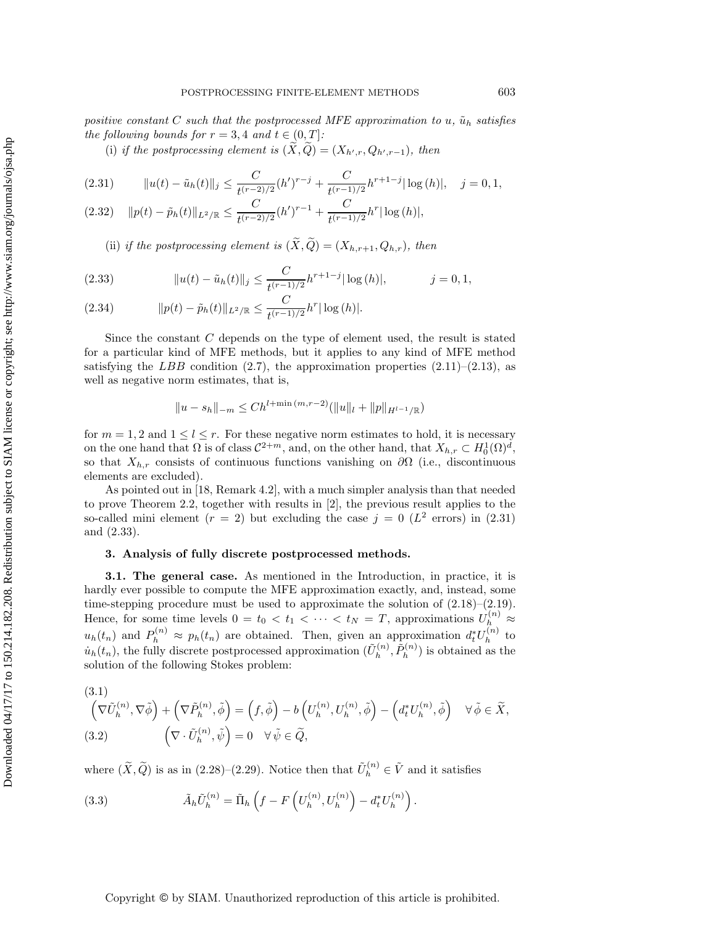*positive constant* C *such that the postprocessed MFE approximation to*  $u$ ,  $\tilde{u}_h$  *satisfies the following bounds for*  $r = 3, 4$  *and*  $t \in (0, T]$ *:* 

(i) if the postprocessing element is  $(X, Q) = (X_{h', r}, Q_{h', r-1})$ , then

$$
(2.31) \t\t ||u(t) - \tilde{u}_h(t)||_j \leq \frac{C}{t^{(r-2)/2}} (h')^{r-j} + \frac{C}{t^{(r-1)/2}} h^{r+1-j} |\log(h)|, \quad j = 0, 1,
$$

$$
(2.32) \quad ||p(t) - \tilde{p}_h(t)||_{L^2/\mathbb{R}} \le \frac{C}{t^{(r-2)/2}} (h')^{r-1} + \frac{C}{t^{(r-1)/2}} h^r |\log(h)|,
$$

(ii) *if the postprocessing element is*  $(\widetilde{X}, \widetilde{Q}) = (X_{h,r+1}, Q_{h,r})$ *, then* 

(2.33) 
$$
||u(t) - \tilde{u}_h(t)||_j \leq \frac{C}{t^{(r-1)/2}} h^{r+1-j} |\log(h)|, \qquad j = 0, 1,
$$

(2.34) 
$$
||p(t) - \tilde{p}_h(t)||_{L^2/\mathbb{R}} \leq \frac{C}{t^{(r-1)/2}} h^r |\log(h)|.
$$

Since the constant C depends on the type of element used, the result is stated for a particular kind of MFE methods, but it applies to any kind of MFE method satisfying the LBB condition (2.7), the approximation properties  $(2.11)$ – $(2.13)$ , as well as negative norm estimates, that is,

$$
||u - s_h||_{-m} \le Ch^{l + \min{(m, r-2)}}(||u||_l + ||p||_{H^{l-1}/\mathbb{R}})
$$

for  $m = 1, 2$  and  $1 \leq l \leq r$ . For these negative norm estimates to hold, it is necessary on the one hand that  $\Omega$  is of class  $C^{2+m}$ , and, on the other hand, that  $X_{h,r} \subset H_0^1(\Omega)^{\tilde{d}}$ , so that  $X_{h,r}$  consists of continuous functions vanishing on  $\partial\Omega$  (i.e., discontinuous elements are excluded).

As pointed out in [18, Remark 4.2], with a much simpler analysis than that needed to prove Theorem 2.2, together with results in [2], the previous result applies to the so-called mini element ( $r = 2$ ) but excluding the case  $j = 0$  ( $L^2$  errors) in (2.31) and (2.33).

# **3. Analysis of fully discrete postprocessed methods.**

**3.1. The general case.** As mentioned in the Introduction, in practice, it is hardly ever possible to compute the MFE approximation exactly, and, instead, some time-stepping procedure must be used to approximate the solution of (2.18)–(2.19). Hence, for some time levels  $0 = t_0 < t_1 < \cdots < t_N = T$ , approximations  $U_h^{(n)} \approx$  $u_h(t_n)$  and  $P_h^{(n)} \approx p_h(t_n)$  are obtained. Then, given an approximation  $d_t^* U_h^{(n)}$  to  $u_h(t_n)$ , the fully discrete postprocessed approximation  $(\tilde{U}_h^{(n)}, \tilde{P}_h^{(n)})$  is obtained as the solution of the following Stokes problem:

(3.1)  
\n
$$
\left(\nabla \tilde{U}_h^{(n)}, \nabla \tilde{\phi}\right) + \left(\nabla \tilde{P}_h^{(n)}, \tilde{\phi}\right) = \left(f, \tilde{\phi}\right) - b\left(U_h^{(n)}, U_h^{(n)}, \tilde{\phi}\right) - \left(d_t^* U_h^{(n)}, \tilde{\phi}\right) \quad \forall \tilde{\phi} \in \tilde{X},
$$
\n(3.2)  
\n
$$
\left(\nabla \cdot \tilde{U}_h^{(n)}, \tilde{\psi}\right) = 0 \quad \forall \tilde{\psi} \in \tilde{Q},
$$

where  $(\tilde{X}, \tilde{Q})$  is as in (2.28)–(2.29). Notice then that  $\tilde{U}_h^{(n)} \in \tilde{V}$  and it satisfies

(3.3) 
$$
\tilde{A}_h \tilde{U}_h^{(n)} = \tilde{\Pi}_h \left( f - F \left( U_h^{(n)}, U_h^{(n)} \right) - d_t^* U_h^{(n)} \right).
$$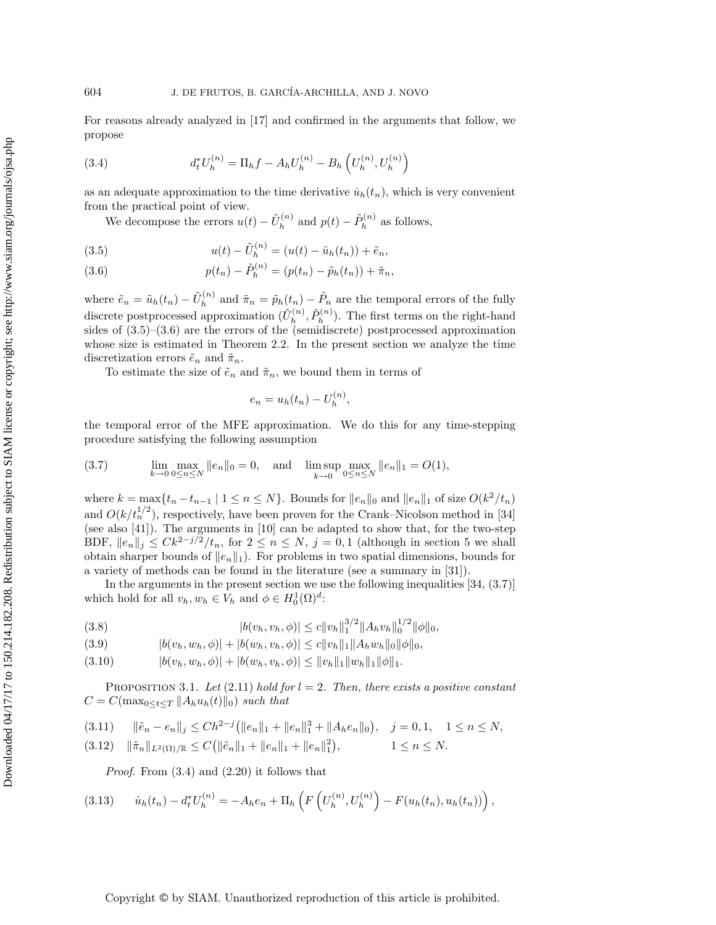For reasons already analyzed in [17] and confirmed in the arguments that follow, we propose

(3.4) 
$$
d_t^* U_h^{(n)} = \Pi_h f - A_h U_h^{(n)} - B_h \left( U_h^{(n)}, U_h^{(n)} \right)
$$

as an adequate approximation to the time derivative  $\dot{u}_h(t_n)$ , which is very convenient from the practical point of view.

We decompose the errors  $u(t) - \tilde{U}_h^{(n)}$  and  $p(t) - \tilde{P}_h^{(n)}$  as follows,

(3.5) 
$$
u(t) - \tilde{U}_h^{(n)} = (u(t) - \tilde{u}_h(t_n)) + \tilde{e}_n,
$$

(3.6) 
$$
p(t_n) - \tilde{P}_h^{(n)} = (p(t_n) - \tilde{p}_h(t_n)) + \tilde{\pi}_n,
$$

where  $\tilde{e}_n = \tilde{u}_h(t_n) - \tilde{U}_h^{(n)}$  and  $\tilde{\pi}_n = \tilde{p}_h(t_n) - \tilde{P}_n$  are the temporal errors of the fully discrete postprocessed approximation  $(\tilde{U}_h^{(n)}, \tilde{P}_h^{(n)})$ . The first terms on the right-hand sides of  $(3.5)-(3.6)$  are the errors of the (semidiscrete) postprocessed approximation whose size is estimated in Theorem 2.2. In the present section we analyze the time discretization errors  $\tilde{e}_n$  and  $\tilde{\pi}_n$ .

To estimate the size of  $\tilde{e}_n$  and  $\tilde{\pi}_n$ , we bound them in terms of

$$
e_n = u_h(t_n) - U_h^{(n)},
$$

the temporal error of the MFE approximation. We do this for any time-stepping procedure satisfying the following assumption

(3.7) 
$$
\lim_{k \to 0} \max_{0 \le n \le N} ||e_n||_0 = 0, \text{ and } \limsup_{k \to 0} \max_{0 \le n \le N} ||e_n||_1 = O(1),
$$

where  $k = \max\{t_n - t_{n-1} \mid 1 \leq n \leq N\}$ . Bounds for  $||e_n||_0$  and  $||e_n||_1$  of size  $O(k^2/t_n)$ and  $O(k/t_n^{1/2})$ , respectively, have been proven for the Crank–Nicolson method in [34] (see also [41]). The arguments in [10] can be adapted to show that, for the two-step BDF,  $||e_n||_j \leq Ck^{2-j/2}/t_n$ , for  $2 \leq n \leq N$ ,  $j = 0, 1$  (although in section 5 we shall obtain sharper bounds of  $||e_n||_1$ . For problems in two spatial dimensions, bounds for a variety of methods can be found in the literature (see a summary in [31]).

In the arguments in the present section we use the following inequalities  $(34, (3.7))$ which hold for all  $v_h, w_h \in V_h$  and  $\phi \in H_0^1(\Omega)^d$ :

(3.8) 
$$
|b(v_h, v_h, \phi)| \leq c ||v_h||_1^{3/2} ||A_h v_h||_0^{1/2} ||\phi||_0,
$$

$$
(3.9) \t\t\t |b(v_h, w_h, \phi)| + |b(w_h, v_h, \phi)| \leq c \|v_h\|_1 \|A_h w_h\|_0 \|\phi\|_0,
$$

$$
(3.10) \t\t\t |b(v_h, w_h, \phi)| + |b(w_h, v_h, \phi)| \leq ||v_h||_1 ||w_h||_1 ||\phi||_1.
$$

PROPOSITION 3.1. Let  $(2.11)$  *hold for*  $l = 2$ . Then, there exists a positive constant  $C = C(\max_{0 \leq t \leq T} ||A_h u_h(t)||_0)$  *such that* 

$$
(3.11) \t ||\tilde{e}_n - e_n||_j \leq Ch^{2-j} (||e_n||_1 + ||e_n||_1^3 + ||A_he_n||_0), \t j = 0, 1, \t 1 \leq n \leq N,
$$

$$
(3.12) \quad \|\tilde{\pi}_n\|_{L^2(\Omega)/\mathbb{R}} \le C \big( \|\tilde{e}_n\|_1 + \|e_n\|_1 + \|e_n\|_1^2 \big), \qquad 1 \le n \le N.
$$

*Proof*. From (3.4) and (2.20) it follows that

(3.13) ˙uh(tn) − d<sup>∗</sup> tU(n) <sup>h</sup> = −Ahe<sup>n</sup> + Π<sup>h</sup> F <sup>U</sup>(n) <sup>h</sup> , U(n) h − F(uh(tn), uh(tn)) ,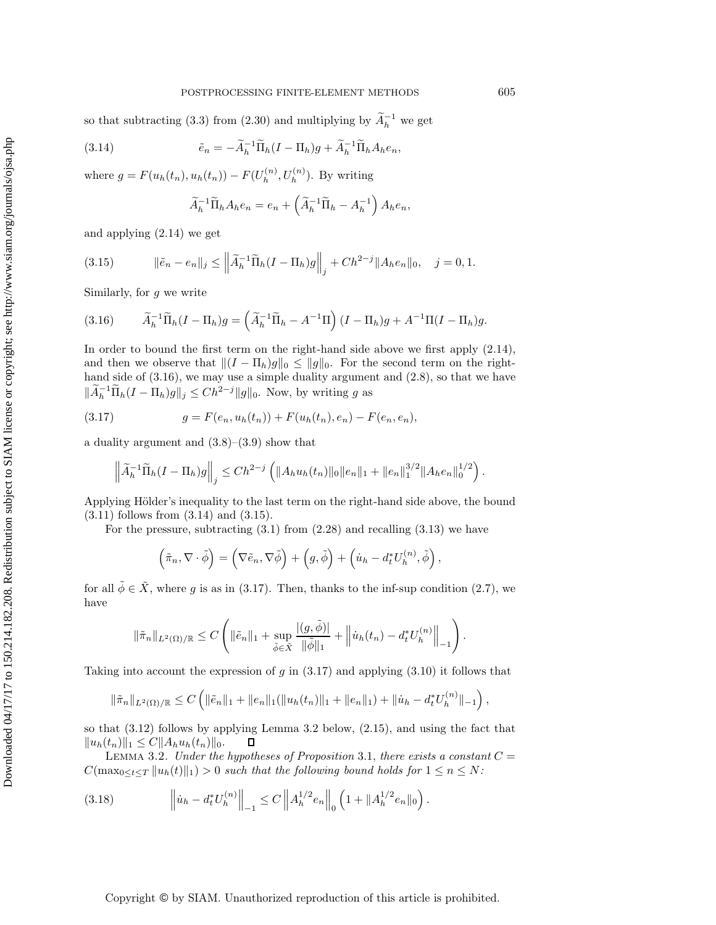so that subtracting (3.3) from (2.30) and multiplying by  $\widetilde{A}_{h}^{-1}$  we get

(3.14) 
$$
\tilde{e}_n = -\tilde{A}_h^{-1} \tilde{\Pi}_h (I - \Pi_h) g + \tilde{A}_h^{-1} \tilde{\Pi}_h A_h e_n,
$$

where  $g = F(u_h(t_n), u_h(t_n)) - F(U_h^{(n)}, U_h^{(n)})$ . By writing

$$
\widetilde{A}_h^{-1}\widetilde{\Pi}_h A_h e_n = e_n + \left(\widetilde{A}_h^{-1}\widetilde{\Pi}_h - A_h^{-1}\right) A_h e_n,
$$

and applying (2.14) we get

(3.15) 
$$
\|\tilde{e}_n - e_n\|_j \le \left\|\tilde{A}_h^{-1}\tilde{\Pi}_h(I - \Pi_h)g\right\|_j + Ch^{2-j} \|A_he_n\|_0, \quad j = 0, 1.
$$

Similarly, for  $q$  we write

(3.16) 
$$
\widetilde{A}_h^{-1} \widetilde{\Pi}_h (I - \Pi_h) g = \left( \widetilde{A}_h^{-1} \widetilde{\Pi}_h - A^{-1} \Pi \right) (I - \Pi_h) g + A^{-1} \Pi (I - \Pi_h) g.
$$

In order to bound the first term on the right-hand side above we first apply (2.14), and then we observe that  $\|(I - \Pi_h)g\|_0 \le \|g\|_0$ . For the second term on the righthand side of  $(3.16)$ , we may use a simple duality argument and  $(2.8)$ , so that we have  $\|\widetilde{A}_h^{-1}\widetilde{\Pi}_h(I-\Pi_h)g\|_j \leq Ch^{2-j} \|g\|_0$ . Now, by writing g as

(3.17) 
$$
g = F(e_n, u_h(t_n)) + F(u_h(t_n), e_n) - F(e_n, e_n),
$$

a duality argument and  $(3.8)$ – $(3.9)$  show that

$$
\left\|\widetilde{A}_h^{-1}\widetilde{\Pi}_h(I-\Pi_h)g\right\|_j \leq Ch^{2-j}\left(\|A_hu_h(t_n)\|_0\|e_n\|_1+\|e_n\|_1^{3/2}\|A_he_n\|_0^{1/2}\right).
$$

Applying Hölder's inequality to the last term on the right-hand side above, the bound (3.11) follows from (3.14) and (3.15).

For the pressure, subtracting  $(3.1)$  from  $(2.28)$  and recalling  $(3.13)$  we have

$$
(\tilde{\pi}_n, \nabla \cdot \tilde{\phi}) = (\nabla \tilde{e}_n, \nabla \tilde{\phi}) + (g, \tilde{\phi}) + (\dot{u}_h - d_t^* U_h^{(n)}, \tilde{\phi}),
$$

for all  $\tilde{\phi} \in \tilde{X}$ , where g is as in (3.17). Then, thanks to the inf-sup condition (2.7), we have

$$
\|\tilde{\pi}_n\|_{L^2(\Omega)/\mathbb{R}} \leq C \left( \|\tilde{e}_n\|_1 + \sup_{\tilde{\phi}\in \tilde{X}} \frac{|(g,\tilde{\phi})|}{\|\tilde{\phi}\|_1} + \left\| \dot{u}_h(t_n) - d_t^* U_h^{(n)} \right\|_{-1} \right).
$$

Taking into account the expression of  $g$  in (3.17) and applying (3.10) it follows that

$$
\|\tilde{\pi}_n\|_{L^2(\Omega)/\mathbb{R}} \leq C \left( \|\tilde{e}_n\|_1 + \|e_n\|_1 (\|u_h(t_n)\|_1 + \|e_n\|_1) + \|\dot{u}_h - d_t^* U_h^{(n)}\|_{-1} \right),
$$

so that (3.12) follows by applying Lemma 3.2 below, (2.15), and using the fact that  $||u_h(t_n)||_1 \leq C||A_hu_h(t_n)||_0.$  $\Box$ 

LEMMA 3.2. *Under the hypotheses of Proposition* 3.1, *there exists a constant*  $C =$  $C(\max_{0\leq t\leq T} \|u_h(t)\|_1) > 0$  such that the following bound holds for  $1 \leq n \leq N$ :

(3.18) 
$$
\left\| \dot{u}_h - d_t^* U_h^{(n)} \right\|_{-1} \leq C \left\| A_h^{1/2} e_n \right\|_0 \left( 1 + \| A_h^{1/2} e_n \|_0 \right).
$$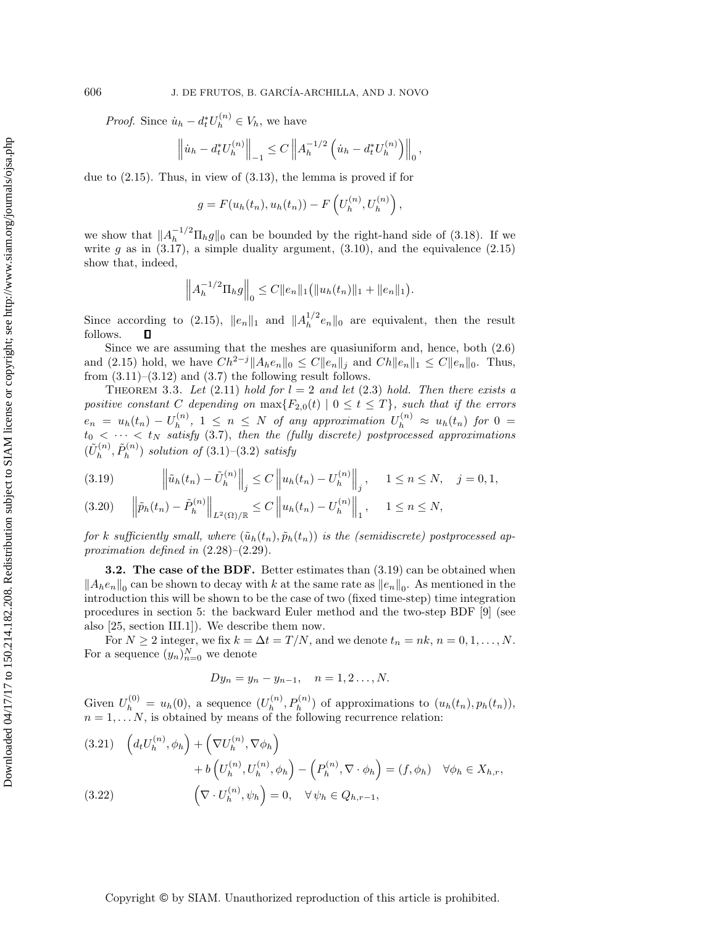*Proof.* Since  $\dot{u}_h - d_t^* U_h^{(n)} \in V_h$ , we have

$$
\left\| \dot{u}_h - d_t^* U_h^{(n)} \right\|_{-1} \leq C \left\| A_h^{-1/2} \left( \dot{u}_h - d_t^* U_h^{(n)} \right) \right\|_0,
$$

due to (2.15). Thus, in view of (3.13), the lemma is proved if for

$$
g = F(u_h(t_n), u_h(t_n)) - F\left(U_h^{(n)}, U_h^{(n)}\right),
$$

we show that  $||A_h^{-1/2} \Pi_h g||_0$  can be bounded by the right-hand side of (3.18). If we write g as in  $(3.17)$ , a simple duality argument,  $(3.10)$ , and the equivalence  $(2.15)$ show that, indeed,

$$
\left\|A_h^{-1/2} \Pi_h g\right\|_0 \leq C \|e_n\|_1 \big( \|u_h(t_n)\|_1 + \|e_n\|_1 \big).
$$

Since according to (2.15),  $||e_n||_1$  and  $||A_h^{1/2}e_n||_0$  are equivalent, then the result follows. П

Since we are assuming that the meshes are quasiuniform and, hence, both (2.6) and (2.15) hold, we have  $Ch^{2-j} \|A_h e_n\|_0 \leq C \|e_n\|_j$  and  $Ch \|e_n\|_1 \leq C \|e_n\|_0$ . Thus, from  $(3.11)$ – $(3.12)$  and  $(3.7)$  the following result follows.

THEOREM 3.3. Let  $(2.11)$  *hold for*  $l = 2$  *and let*  $(2.3)$  *hold. Then there exists a positive constant* C depending on  $\max\{F_{2,0}(t) \mid 0 \le t \le T\}$ *, such that if the errors*  $e_n = u_h(t_n) - U_h^{(n)}$ ,  $1 \leq n \leq N$  of any approximation  $U_h^{(n)} \approx u_h(t_n)$  for  $0 =$  $t_0 < \cdots < t_N$  satisfy (3.7), then the (fully discrete) postprocessed approximations  $(\tilde{U}_h^{(n)}, \tilde{P}_h^{(n)})$  *solution of* (3.1)–(3.2) *satisfy* 

$$
(3.19) \qquad \left\|\tilde{u}_h(t_n) - \tilde{U}_h^{(n)}\right\|_j \le C \left\|u_h(t_n) - U_h^{(n)}\right\|_j, \quad 1 \le n \le N, \quad j = 0, 1,
$$

$$
(3.20) \t\t ||\tilde{p}_h(t_n) - \tilde{P}_h^{(n)}||_{L^2(\Omega)/\mathbb{R}} \le C \t ||u_h(t_n) - U_h^{(n)}||_1, \t 1 \le n \le N,
$$

*for* k sufficiently small, where  $(\tilde{u}_h(t_n), \tilde{p}_h(t_n))$  is the (semidiscrete) postprocessed ap*proximation defined in* (2.28)–(2.29).

**3.2. The case of the BDF.** Better estimates than (3.19) can be obtained when  $||A_he_n||_0$  can be shown to decay with k at the same rate as  $||e_n||_0$ . As mentioned in the introduction this will be shown to be the case of two (fixed time-step) time integration procedures in section 5: the backward Euler method and the two-step BDF [9] (see also [25, section III.1]). We describe them now.

For  $N \ge 2$  integer, we fix  $k = \Delta t = T/N$ , and we denote  $t_n = nk$ ,  $n = 0, 1, ..., N$ . For a sequence  $(y_n)_{n=0}^N$  we denote

$$
Dy_n = y_n - y_{n-1}, \quad n = 1, 2 \dots, N.
$$

Given  $U_h^{(0)} = u_h(0)$ , a sequence  $(U_h^{(n)}, P_h^{(n)})$  of approximations to  $(u_h(t_n), p_h(t_n))$ ,  $n = 1, \ldots N$ , is obtained by means of the following recurrence relation:

$$
(3.21) \quad \left(d_t U_h^{(n)}, \phi_h\right) + \left(\nabla U_h^{(n)}, \nabla \phi_h\right) \n+ b\left(U_h^{(n)}, U_h^{(n)}, \phi_h\right) - \left(P_h^{(n)}, \nabla \cdot \phi_h\right) = (f, \phi_h) \quad \forall \phi_h \in X_{h,r}, \n(3.22) \quad \left(\nabla \cdot U_h^{(n)}, \psi_h\right) = 0, \quad \forall \psi_h \in Q_{h,r-1},
$$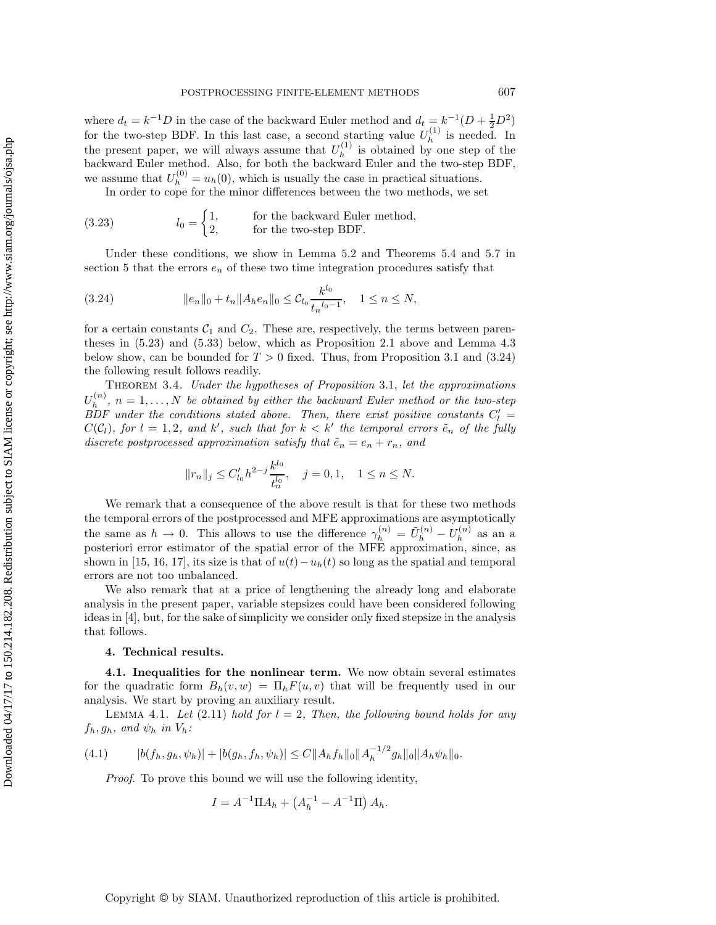where  $d_t = k^{-1}D$  in the case of the backward Euler method and  $d_t = k^{-1}(D + \frac{1}{2}D^2)$ for the two-step BDF. In this last case, a second starting value  $U_h^{(1)}$  is needed. In the present paper, we will always assume that  $U_h^{(1)}$  is obtained by one step of the backward Euler method. Also, for both the backward Euler and the two-step BDF, we assume that  $U_h^{(0)} = u_h(0)$ , which is usually the case in practical situations. In order to cope for the minor differences between the two methods, we set

(3.23) 
$$
l_0 = \begin{cases} 1, & \text{for the backward Euler method,} \\ 2, & \text{for the two-step BDF.} \end{cases}
$$

Under these conditions, we show in Lemma 5.2 and Theorems 5.4 and 5.7 in section 5 that the errors  $e_n$  of these two time integration procedures satisfy that

(3.24) 
$$
||e_n||_0 + t_n ||A_h e_n||_0 \leq C_{l_0} \frac{k^{l_0}}{t_n^{l_0 - 1}}, \quad 1 \leq n \leq N,
$$

for a certain constants  $C_1$  and  $C_2$ . These are, respectively, the terms between parentheses in (5.23) and (5.33) below, which as Proposition 2.1 above and Lemma 4.3 below show, can be bounded for  $T > 0$  fixed. Thus, from Proposition 3.1 and (3.24) the following result follows readily.

Theorem 3.4. *Under the hypotheses of Proposition* 3.1, *let the approximations*  $U_h^{(n)}$ ,  $n = 1, \ldots, N$  be obtained by either the backward Euler method or the two-step *BDF* under the conditions stated above. Then, there exist positive constants  $C_l'$  $C(\mathcal{C}_l)$ , for  $l = 1, 2$ , and  $k'$ , such that for  $k < k'$  the temporal errors  $\tilde{e}_n$  of the fully *discrete postprocessed approximation satisfy that*  $\tilde{e}_n = e_n + r_n$ , and

$$
||r_n||_j \le C'_{l_0} h^{2-j} \frac{k^{l_0}}{t_n^{l_0}}, \quad j = 0, 1, \quad 1 \le n \le N.
$$

We remark that a consequence of the above result is that for these two methods the temporal errors of the postprocessed and MFE approximations are asymptotically the same as  $h \to 0$ . This allows to use the difference  $\gamma_h^{(n)} = \tilde{U}_h^{(n)} - U_h^{(n)}$  as an a posteriori error estimator of the spatial error of the MFE approximation, since, as shown in [15, 16, 17], its size is that of  $u(t)-u<sub>h</sub>(t)$  so long as the spatial and temporal errors are not too unbalanced.

We also remark that at a price of lengthening the already long and elaborate analysis in the present paper, variable stepsizes could have been considered following ideas in [4], but, for the sake of simplicity we consider only fixed stepsize in the analysis that follows.

#### **4. Technical results.**

**4.1. Inequalities for the nonlinear term.** We now obtain several estimates for the quadratic form  $B_h(v, w) = \Pi_h F(u, v)$  that will be frequently used in our analysis. We start by proving an auxiliary result.

LEMMA 4.1. Let  $(2.11)$  *hold for*  $l = 2$ , *Then, the following bound holds for any*  $f_h, g_h$ , and  $\psi_h$  *in*  $V_h$ :

$$
(4.1) \t\t |b(f_h, g_h, \psi_h)| + |b(g_h, f_h, \psi_h)| \le C \|A_h f_h\|_{0} \|A_h^{-1/2} g_h\|_{0} \|A_h \psi_h\|_{0}.
$$

*Proof*. To prove this bound we will use the following identity,

$$
I = A^{-1} \Pi A_h + \left(A_h^{-1} - A^{-1} \Pi\right) A_h.
$$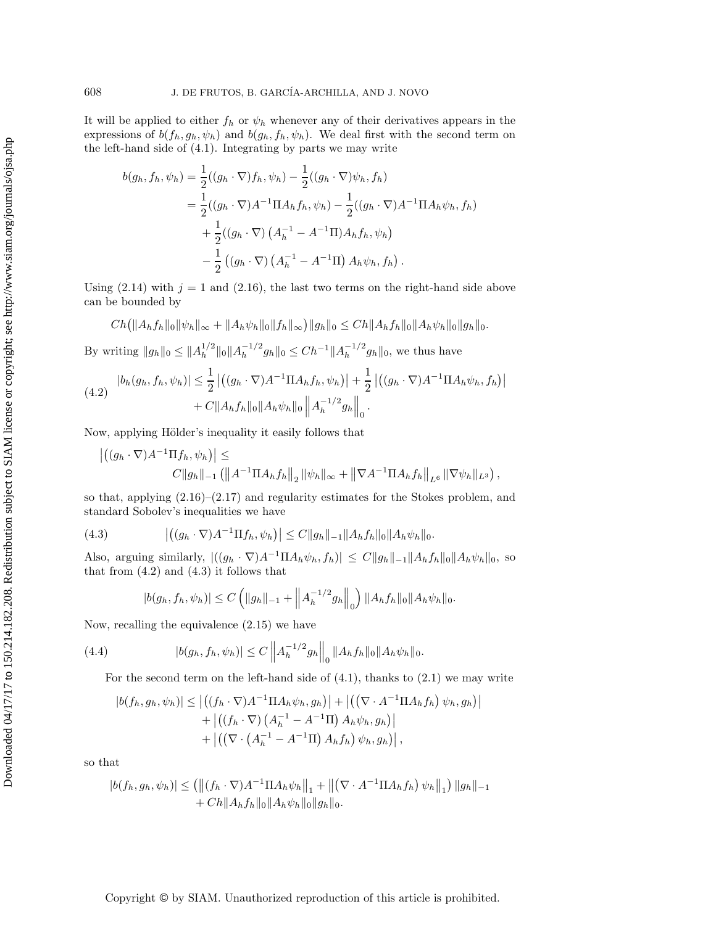It will be applied to either  $f_h$  or  $\psi_h$  whenever any of their derivatives appears in the expressions of  $b(f_h, g_h, \psi_h)$  and  $b(g_h, f_h, \psi_h)$ . We deal first with the second term on the left-hand side of (4.1). Integrating by parts we may write

$$
b(g_h, f_h, \psi_h) = \frac{1}{2}((g_h \cdot \nabla) f_h, \psi_h) - \frac{1}{2}((g_h \cdot \nabla) \psi_h, f_h)
$$
  
=  $\frac{1}{2}((g_h \cdot \nabla)A^{-1} \Pi A_h f_h, \psi_h) - \frac{1}{2}((g_h \cdot \nabla)A^{-1} \Pi A_h \psi_h, f_h)$   
+  $\frac{1}{2}((g_h \cdot \nabla) (A_h^{-1} - A^{-1} \Pi) A_h f_h, \psi_h)$   
-  $\frac{1}{2} ((g_h \cdot \nabla) (A_h^{-1} - A^{-1} \Pi) A_h \psi_h, f_h).$ 

Using (2.14) with  $j = 1$  and (2.16), the last two terms on the right-hand side above can be bounded by

$$
Ch (||A_h f_h||_0 ||\psi_h||_{\infty} + ||A_h \psi_h||_0 ||f_h||_{\infty}) ||g_h||_0 \le Ch ||A_h f_h||_0 ||A_h \psi_h||_0 ||g_h||_0.
$$

By writing  $||g_h||_0 \leq ||A_h^{1/2}||_0 ||A_h^{-1/2}g_h||_0 \leq Ch^{-1}||A_h^{-1/2}g_h||_0$ , we thus have

$$
(4.2) \quad |b_h(g_h, f_h, \psi_h)| \leq \frac{1}{2} \left| \left( (g_h \cdot \nabla) A^{-1} \Pi A_h f_h, \psi_h \right) \right| + \frac{1}{2} \left| \left( (g_h \cdot \nabla) A^{-1} \Pi A_h \psi_h, f_h \right) \right| + C \|A_h f_h\|_0 \|A_h \psi_h\|_0 \left\| A_h^{-1/2} g_h \right\|_0.
$$

Now, applying Hölder's inequality it easily follows that

$$
\left| \left( (g_h \cdot \nabla) A^{-1} \Pi f_h, \psi_h \right) \right| \leq
$$
  
 
$$
C \|g_h\|_{-1} \left( \left\| A^{-1} \Pi A_h f_h \right\|_2 \|\psi_h\|_{\infty} + \left\| \nabla A^{-1} \Pi A_h f_h \right\|_{L^6} \|\nabla \psi_h\|_{L^3} \right)
$$

,

so that, applying  $(2.16)$ – $(2.17)$  and regularity estimates for the Stokes problem, and standard Sobolev's inequalities we have

(4.3) 
$$
\left| \left( (g_h \cdot \nabla) A^{-1} \Pi f_h, \psi_h \right) \right| \leq C \|g_h\|_{-1} \|A_h f_h\|_0 \|A_h \psi_h\|_0.
$$

Also, arguing similarly,  $|((g_h \cdot \nabla)A^{-1}\Pi A_h\psi_h, f_h)| \leq C||g_h||_{-1} ||A_hf_h||_0 ||A_h\psi_h||_0$ , so that from  $(4.2)$  and  $(4.3)$  it follows that

$$
|b(g_h, f_h, \psi_h)| \le C \left( \|g_h\|_{-1} + \left\|A_h^{-1/2}g_h\right\|_0 \right) \|A_h f_h\|_0 \|A_h \psi_h\|_0.
$$

Now, recalling the equivalence (2.15) we have

(4.4) 
$$
|b(g_h, f_h, \psi_h)| \leq C \left\| A_h^{-1/2} g_h \right\|_0 \|A_h f_h\|_0 \|A_h \psi_h\|_0.
$$

For the second term on the left-hand side of  $(4.1)$ , thanks to  $(2.1)$  we may write

$$
|b(f_h, g_h, \psi_h)| \leq |((f_h \cdot \nabla)A^{-1} \Pi A_h \psi_h, g_h)| + |((\nabla \cdot A^{-1} \Pi A_h f_h) \psi_h, g_h)|
$$
  
+ 
$$
|((f_h \cdot \nabla) (A_h^{-1} - A^{-1} \Pi) A_h \psi_h, g_h)|
$$
  
+ 
$$
|((\nabla \cdot (A_h^{-1} - A^{-1} \Pi) A_h f_h) \psi_h, g_h)|,
$$

so that

$$
|b(f_h, g_h, \psi_h)| \leq (||(f_h \cdot \nabla)A^{-1} \Pi A_h \psi_h||_1 + ||(\nabla \cdot A^{-1} \Pi A_h f_h) \psi_h||_1) ||g_h||_{-1} + Ch ||A_h f_h||_0 ||A_h \psi_h||_0 ||g_h||_0.
$$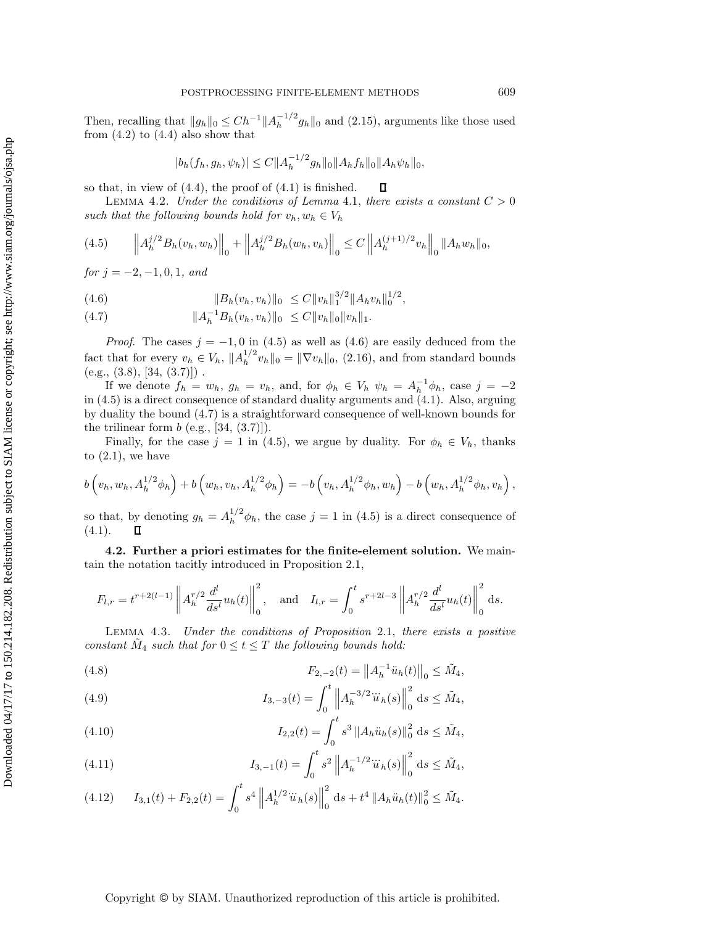Then, recalling that  $||g_h||_0 \leq Ch^{-1} ||A_h^{-1/2} g_h||_0$  and (2.15), arguments like those used from  $(4.2)$  to  $(4.4)$  also show that

$$
|b_h(f_h,g_h,\psi_h)| \leq C \|A_h^{-1/2}g_h\|_0 \|A_hf_h\|_0 \|A_h\psi_h\|_0,
$$

П

so that, in view of  $(4.4)$ , the proof of  $(4.1)$  is finished.

LEMMA 4.2. *Under the conditions of Lemma 4.1, there exists a constant*  $C > 0$ such that the following bounds hold for  $v_h, w_h \in V_h$ 

$$
(4.5) \qquad \left\| A_h^{j/2} B_h(v_h, w_h) \right\|_0 + \left\| A_h^{j/2} B_h(w_h, v_h) \right\|_0 \le C \left\| A_h^{(j+1)/2} v_h \right\|_0 \| A_h w_h \|_0,
$$

*for*  $j = -2, -1, 0, 1, and$ 

(4.6) 
$$
||B_h(v_h, v_h)||_0 \leq C ||v_h||_1^{3/2} ||A_h v_h||_0^{1/2},
$$

(4.7)  $||A_h^{-1}B_h(v_h, v_h)||_0 \leq C ||v_h||_0 ||v_h||_1.$ 

*Proof.* The cases  $j = -1, 0$  in (4.5) as well as (4.6) are easily deduced from the fact that for every  $v_h \in V_h$ ,  $||A_h^{1/2}v_h||_0 = ||\nabla v_h||_0$ , (2.16), and from standard bounds  $(e.g., (3.8), [34, (3.7)]).$ 

If we denote  $f_h = w_h$ ,  $g_h = v_h$ , and, for  $\phi_h \in V_h$ ,  $\psi_h = A_h^{-1} \phi_h$ , case  $j = -2$ in (4.5) is a direct consequence of standard duality arguments and (4.1). Also, arguing by duality the bound (4.7) is a straightforward consequence of well-known bounds for the trilinear form  $b$  (e.g., [34, (3.7)]).

Finally, for the case  $j = 1$  in (4.5), we argue by duality. For  $\phi_h \in V_h$ , thanks to  $(2.1)$ , we have

$$
b(v_h, w_h, A_h^{1/2} \phi_h) + b(w_h, v_h, A_h^{1/2} \phi_h) = -b(v_h, A_h^{1/2} \phi_h, w_h) - b(w_h, A_h^{1/2} \phi_h, v_h),
$$

so that, by denoting  $g_h = A_h^{1/2} \phi_h$ , the case  $j = 1$  in (4.5) is a direct consequence of  $(4.1).$  $\Box$ 

**4.2. Further a priori estimates for the finite-element solution.** We maintain the notation tacitly introduced in Proposition 2.1,

$$
F_{l,r} = t^{r+2(l-1)} \left\| A_h^{r/2} \frac{d^l}{ds^l} u_h(t) \right\|_0^2, \text{ and } I_{l,r} = \int_0^t s^{r+2l-3} \left\| A_h^{r/2} \frac{d^l}{ds^l} u_h(t) \right\|_0^2 ds.
$$

Lemma 4.3. *Under the conditions of Proposition* 2.1, *there exists a positive constant*  $\tilde{M}_4$  *such that for*  $0 \le t \le T$  *the following bounds hold:* 

(4.8) 
$$
F_{2,-2}(t) = ||A_h^{-1}\ddot{u}_h(t)||_0 \leq \tilde{M}_4,
$$

(4.9) 
$$
I_{3,-3}(t) = \int_0^t \left\| A_h^{-3/2} \ddot{u}_h(s) \right\|_0^2 ds \leq \tilde{M}_4,
$$

(4.10) 
$$
I_{2,2}(t) = \int_0^t s^3 \|A_h \ddot{u}_h(s)\|_0^2 \text{ d}s \leq \tilde{M}_4,
$$

(4.11) 
$$
I_{3,-1}(t) = \int_0^t s^2 \left\| A_h^{-1/2} \ddot{u}_h(s) \right\|_0^2 ds \le \tilde{M}_4,
$$

(4.12) 
$$
I_{3,1}(t) + F_{2,2}(t) = \int_0^t s^4 \left\| A_h^{1/2} \ddot{u}_h(s) \right\|_0^2 ds + t^4 \left\| A_h \ddot{u}_h(t) \right\|_0^2 \leq \tilde{M}_4.
$$

# Copyright © by SIAM. Unauthorized reproduction of this article is prohibited.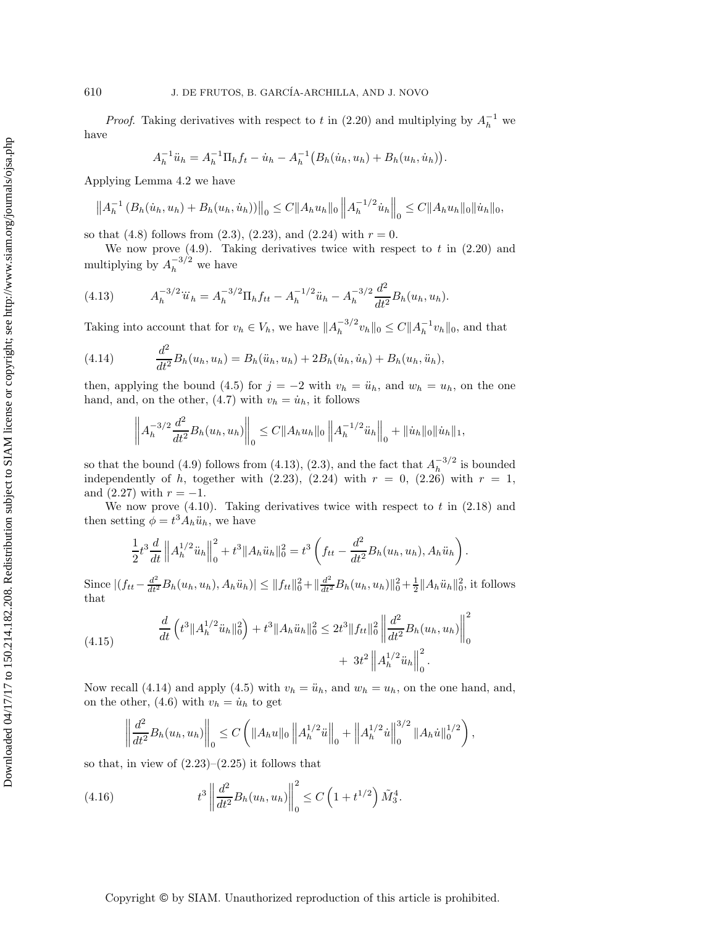*Proof.* Taking derivatives with respect to t in  $(2.20)$  and multiplying by  $A_h^{-1}$  we have

$$
A_h^{-1}\ddot{u}_h = A_h^{-1}\Pi_h f_t - \dot{u}_h - A_h^{-1}\big(B_h(\dot{u}_h, u_h) + B_h(u_h, \dot{u}_h)\big).
$$

Applying Lemma 4.2 we have

$$
\left\|A_h^{-1}\left(B_h(\dot{u}_h, u_h) + B_h(u_h, \dot{u}_h)\right)\right\|_0 \leq C \|A_h u_h\|_0 \left\|A_h^{-1/2} \dot{u}_h\right\|_0 \leq C \|A_h u_h\|_0 \|\dot{u}_h\|_0,
$$

so that (4.8) follows from (2.3), (2.23), and (2.24) with  $r = 0$ .

We now prove  $(4.9)$ . Taking derivatives twice with respect to t in  $(2.20)$  and multiplying by  $A_h^{-3/2}$  we have

(4.13) 
$$
A_h^{-3/2} \ddot{u}_h = A_h^{-3/2} \Pi_h f_{tt} - A_h^{-1/2} \ddot{u}_h - A_h^{-3/2} \frac{d^2}{dt^2} B_h(u_h, u_h).
$$

Taking into account that for  $v_h \in V_h$ , we have  $||A_h^{-3/2}v_h||_0 \leq C ||A_h^{-1}v_h||_0$ , and that

(4.14) 
$$
\frac{d^2}{dt^2}B_h(u_h, u_h) = B_h(\ddot{u}_h, u_h) + 2B_h(\dot{u}_h, \dot{u}_h) + B_h(u_h, \ddot{u}_h),
$$

then, applying the bound (4.5) for  $j = -2$  with  $v_h = \ddot{u}_h$ , and  $w_h = u_h$ , on the one hand, and, on the other, (4.7) with  $v_h = \dot{u}_h$ , it follows

$$
\left\|A_h^{-3/2}\frac{d^2}{dt^2}B_h(u_h, u_h)\right\|_0 \leq C\|A_h u_h\|_0 \left\|A_h^{-1/2}\ddot{u}_h\right\|_0 + \|\dot{u}_h\|_0 \|\dot{u}_h\|_1,
$$

so that the bound (4.9) follows from (4.13), (2.3), and the fact that  $A_h^{-3/2}$  is bounded independently of h, together with  $(2.23)$ ,  $(2.24)$  with  $r = 0$ ,  $(2.26)$  with  $r = 1$ , and  $(2.27)$  with  $r = -1$ .

We now prove  $(4.10)$ . Taking derivatives twice with respect to t in  $(2.18)$  and then setting  $\phi = t^3 A_h \ddot{u}_h$ , we have

$$
\frac{1}{2}t^3\frac{d}{dt}\left\|A_h^{1/2}\ddot{u}_h\right\|_0^2 + t^3\|A_h\ddot{u}_h\|_0^2 = t^3\left(f_{tt} - \frac{d^2}{dt^2}B_h(u_h, u_h), A_h\ddot{u}_h\right).
$$

Since  $|(f_{tt}-\frac{d^2}{dt^2}B_h(u_h, u_h), A_h\ddot{u}_h)| \leq ||f_{tt}||_0^2 + ||\frac{d^2}{dt^2}B_h(u_h, u_h)||_0^2 + \frac{1}{2}||A_h\ddot{u}_h||_0^2$ , it follows that

(4.15) 
$$
\frac{d}{dt} \left( t^3 \| A_h^{1/2} \ddot{u}_h \|_0^2 \right) + t^3 \| A_h \ddot{u}_h \|_0^2 \leq 2t^3 \| f_{tt} \|_0^2 \left\| \frac{d^2}{dt^2} B_h(u_h, u_h) \right\|_0^2 + 3t^2 \| A_h^{1/2} \ddot{u}_h \|_0^2.
$$

Now recall (4.14) and apply (4.5) with  $v_h = \ddot{u}_h$ , and  $w_h = u_h$ , on the one hand, and, on the other, (4.6) with  $v_h = \dot{u}_h$  to get

$$
\left\|\frac{d^2}{dt^2}B_h(u_h, u_h)\right\|_0 \leq C\left(\|A_h u\|_0 \left\|A_h^{1/2} \ddot{u}\right\|_0 + \left\|A_h^{1/2} \dot{u}\right\|_0^{3/2} \|A_h \dot{u}\|_0^{1/2}\right),\right\}
$$

so that, in view of  $(2.23)$ – $(2.25)$  it follows that

(4.16) 
$$
t^3 \left\| \frac{d^2}{dt^2} B_h(u_h, u_h) \right\|_0^2 \leq C \left( 1 + t^{1/2} \right) \tilde{M}_3^4.
$$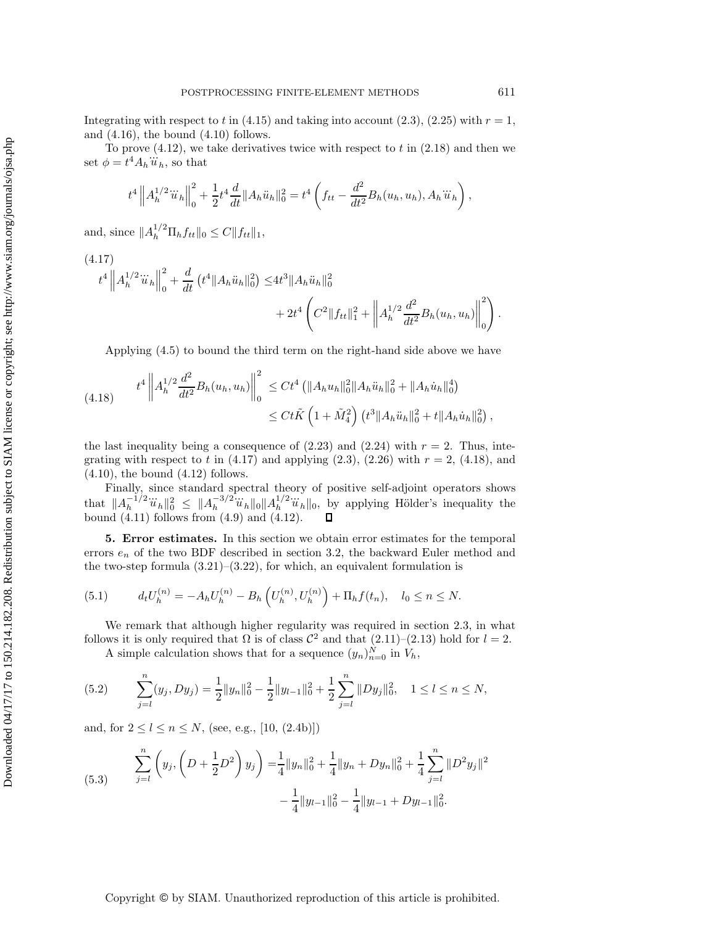Integrating with respect to t in  $(4.15)$  and taking into account  $(2.3)$ ,  $(2.25)$  with  $r = 1$ , and  $(4.16)$ , the bound  $(4.10)$  follows.

To prove  $(4.12)$ , we take derivatives twice with respect to t in  $(2.18)$  and then we set  $\phi = t^4 A_h \dddot{u}_h$ , so that

$$
t^4 \left\| A_h^{1/2} \dddot{u}_h \right\|_0^2 + \frac{1}{2} t^4 \frac{d}{dt} \| A_h \ddot{u}_h \|_0^2 = t^4 \left( f_{tt} - \frac{d^2}{dt^2} B_h(u_h, u_h), A_h \dddot{u}_h \right),
$$

and, since  $||A_h^{1/2} \Pi_h f_{tt}||_0 \leq C ||f_{tt}||_1$ ,

(4.17)  
\n
$$
t^{4} \left\| A_{h}^{1/2} \ddot{u}_{h} \right\|_{0}^{2} + \frac{d}{dt} \left( t^{4} \| A_{h} \ddot{u}_{h} \|_{0}^{2} \right) \leq 4t^{3} \| A_{h} \ddot{u}_{h} \|_{0}^{2} + 2t^{4} \left( C^{2} \| f_{tt} \|_{1}^{2} + \left\| A_{h}^{1/2} \frac{d^{2}}{dt^{2}} B_{h} (u_{h}, u_{h}) \right\|_{0}^{2} \right)
$$

Applying (4.5) to bound the third term on the right-hand side above we have

$$
(4.18) \t t4 \left\| A_h^{1/2} \frac{d^2}{dt^2} B_h(u_h, u_h) \right\|_0^2 \leq C t4 \left( \| A_h u_h \|_0^2 \| A_h \ddot{u}_h \|_0^2 + \| A_h \dot{u}_h \|_0^4 \right) \n\leq C t \tilde{K} \left( 1 + \tilde{M}_4^2 \right) \left( t^3 \| A_h \ddot{u}_h \|_0^2 + t \| A_h \dot{u}_h \|_0^2 \right),
$$

the last inequality being a consequence of  $(2.23)$  and  $(2.24)$  with  $r = 2$ . Thus, integrating with respect to t in  $(4.17)$  and applying  $(2.3)$ ,  $(2.26)$  with  $r = 2$ ,  $(4.18)$ , and  $(4.10)$ , the bound  $(4.12)$  follows.

Finally, since standard spectral theory of positive self-adjoint operators shows that  $||A_h^{-1/2} \ddot{u}_h||_0^2 \leq ||A_h^{-3/2} \ddot{u}_h||_0 ||A_h^{1/2} \ddot{u}_h||_0$ , by applying Hölder's inequality the bound  $(4.11)$  follows from  $(4.9)$  and  $(4.12)$ .

**5. Error estimates.** In this section we obtain error estimates for the temporal errors  $e_n$  of the two BDF described in section 3.2, the backward Euler method and the two-step formula  $(3.21)$ – $(3.22)$ , for which, an equivalent formulation is

(5.1) 
$$
d_t U_h^{(n)} = -A_h U_h^{(n)} - B_h \left( U_h^{(n)}, U_h^{(n)} \right) + \Pi_h f(t_n), \quad l_0 \le n \le N.
$$

We remark that although higher regularity was required in section 2.3, in what follows it is only required that  $\Omega$  is of class  $\mathcal{C}^2$  and that  $(2.11)-(2.13)$  hold for  $l=2$ . A simple calculation shows that for a sequence  $(y_n)_{n=0}^N$  in  $V_h$ ,

(5.2) 
$$
\sum_{j=l}^{n} (y_j, Dy_j) = \frac{1}{2} ||y_n||_0^2 - \frac{1}{2} ||y_{l-1}||_0^2 + \frac{1}{2} \sum_{j=l}^{n} ||Dy_j||_0^2, \quad 1 \le l \le n \le N,
$$

and, for  $2 \le l \le n \le N$ , (see, e.g., [10, (2.4b)])

(5.3) 
$$
\sum_{j=l}^{n} \left( y_j, \left( D + \frac{1}{2} D^2 \right) y_j \right) = \frac{1}{4} ||y_n||_0^2 + \frac{1}{4} ||y_n + Dy_n||_0^2 + \frac{1}{4} \sum_{j=l}^{n} ||D^2 y_j||^2 - \frac{1}{4} ||y_{l-1}||_0^2 - \frac{1}{4} ||y_{l-1} + Dy_{l-1}||_0^2.
$$

## Copyright © by SIAM. Unauthorized reproduction of this article is prohibited.

.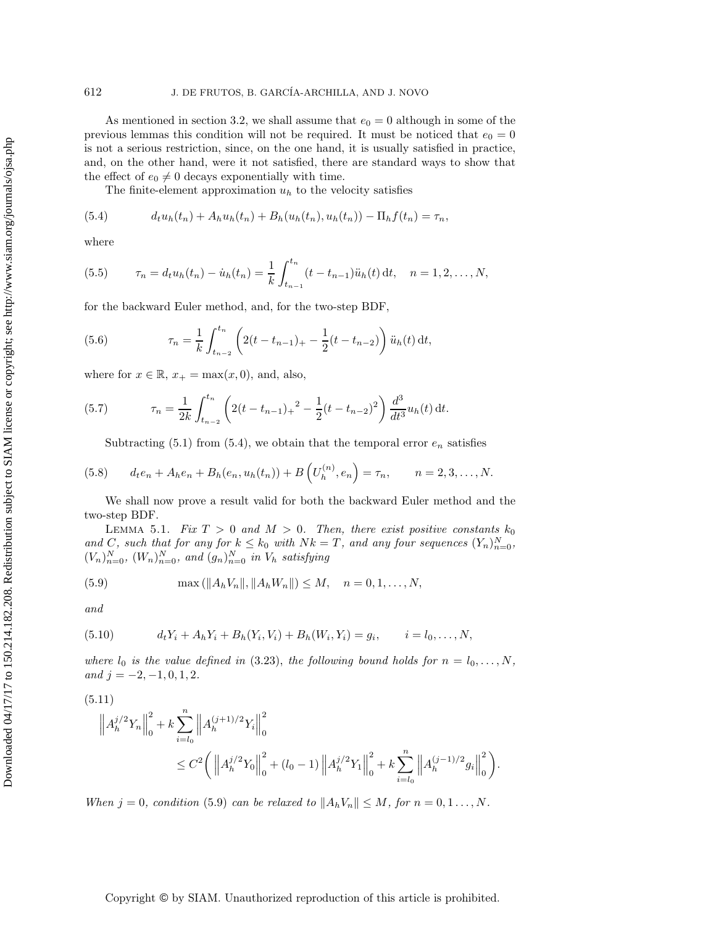As mentioned in section 3.2, we shall assume that  $e_0 = 0$  although in some of the previous lemmas this condition will not be required. It must be noticed that  $e_0 = 0$ is not a serious restriction, since, on the one hand, it is usually satisfied in practice, and, on the other hand, were it not satisfied, there are standard ways to show that the effect of  $e_0 \neq 0$  decays exponentially with time.

The finite-element approximation  $u<sub>h</sub>$  to the velocity satisfies

(5.4) 
$$
d_t u_h(t_n) + A_h u_h(t_n) + B_h(u_h(t_n), u_h(t_n)) - \Pi_h f(t_n) = \tau_n,
$$

where

(5.5) 
$$
\tau_n = d_t u_h(t_n) - \dot{u}_h(t_n) = \frac{1}{k} \int_{t_{n-1}}^{t_n} (t - t_{n-1}) \ddot{u}_h(t) dt, \quad n = 1, 2, \dots, N,
$$

for the backward Euler method, and, for the two-step BDF,

(5.6) 
$$
\tau_n = \frac{1}{k} \int_{t_{n-2}}^{t_n} \left( 2(t - t_{n-1})_+ - \frac{1}{2}(t - t_{n-2}) \right) \ddot{u}_h(t) dt,
$$

where for  $x \in \mathbb{R}$ ,  $x_+ = \max(x, 0)$ , and, also,

(5.7) 
$$
\tau_n = \frac{1}{2k} \int_{t_{n-2}}^{t_n} \left( 2(t - t_{n-1})_+^2 - \frac{1}{2}(t - t_{n-2})^2 \right) \frac{d^3}{dt^3} u_h(t) dt.
$$

Subtracting (5.1) from (5.4), we obtain that the temporal error  $e_n$  satisfies

(5.8) 
$$
d_t e_n + A_h e_n + B_h(e_n, u_h(t_n)) + B\left(U_h^{(n)}, e_n\right) = \tau_n, \qquad n = 2, 3, \dots, N.
$$

We shall now prove a result valid for both the backward Euler method and the two-step BDF.

LEMMA 5.1. *Fix*  $T > 0$  and  $M > 0$ . Then, there exist positive constants  $k_0$ and C, such that for any for  $k \leq k_0$  with  $Nk = T$ , and any four sequences  $(Y_n)_{n=0}^N$ ,  $(V_n)_{n=0}^N$ ,  $(W_n)_{n=0}^N$ , and  $(g_n)_{n=0}^N$  *in*  $V_h$  *satisfying* 

(5.9) 
$$
\max(\|A_h V_n\|, \|A_h W_n\|) \le M, \quad n = 0, 1, ..., N,
$$

*and*

(5.10) 
$$
d_t Y_i + A_h Y_i + B_h(Y_i, V_i) + B_h(W_i, Y_i) = g_i, \qquad i = l_0, ..., N,
$$

*where*  $l_0$  *is the value defined in* (3.23), *the following bound holds for*  $n = l_0, \ldots, N$ *,*  $and j = -2, -1, 0, 1, 2.$ 

$$
(5.11)
$$

$$
\left\| A_h^{j/2} Y_n \right\|_0^2 + k \sum_{i=l_0}^n \left\| A_h^{(j+1)/2} Y_i \right\|_0^2
$$
  

$$
\leq C^2 \left( \left\| A_h^{j/2} Y_0 \right\|_0^2 + (l_0 - 1) \left\| A_h^{j/2} Y_1 \right\|_0^2 + k \sum_{i=l_0}^n \left\| A_h^{(j-1)/2} g_i \right\|_0^2 \right)
$$

.

*When*  $j = 0$ *, condition* (5.9) *can be relaxed to*  $||A_hV_n|| \leq M$ *, for*  $n = 0, 1, ..., N$ *.* 

# Copyright © by SIAM. Unauthorized reproduction of this article is prohibited.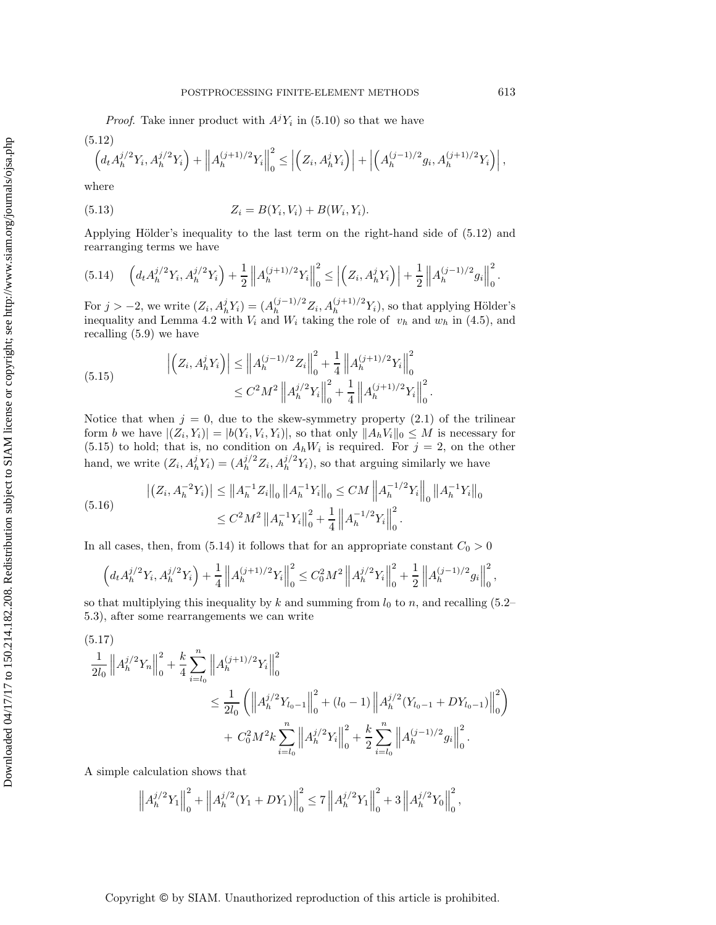*Proof.* Take inner product with  $A^{j}Y_{i}$  in (5.10) so that we have

$$
(5.12) \qquad \left(d_t A_h^{j/2} Y_i, A_h^{j/2} Y_i\right) + \left\|A_h^{(j+1)/2} Y_i\right\|_0^2 \le \left|\left(Z_i, A_h^j Y_i\right)\right| + \left|\left(A_h^{(j-1)/2} g_i, A_h^{(j+1)/2} Y_i\right)\right|,
$$

where

(5.13) 
$$
Z_i = B(Y_i, V_i) + B(W_i, Y_i).
$$

Applying Hölder's inequality to the last term on the right-hand side of  $(5.12)$  and rearranging terms we have

$$
(5.14) \quad \left(d_t A_h^{j/2} Y_i, A_h^{j/2} Y_i\right) + \frac{1}{2} \left\| A_h^{(j+1)/2} Y_i \right\|_0^2 \le \left| \left( Z_i, A_h^j Y_i \right) \right| + \frac{1}{2} \left\| A_h^{(j-1)/2} g_i \right\|_0^2.
$$

For  $j > -2$ , we write  $(Z_i, A_h^j Y_i) = (A_h^{(j-1)/2} Z_i, A_h^{(j+1)/2} Y_i)$ , so that applying Hölder's inequality and Lemma 4.2 with  $V_i$  and  $W_i$  taking the role of  $v_h$  and  $w_h$  in (4.5), and recalling (5.9) we have

(5.15) 
$$
\left| \left( Z_i, A_h^j Y_i \right) \right| \leq \left\| A_h^{(j-1)/2} Z_i \right\|_0^2 + \frac{1}{4} \left\| A_h^{(j+1)/2} Y_i \right\|_0^2 \n\leq C^2 M^2 \left\| A_h^{j/2} Y_i \right\|_0^2 + \frac{1}{4} \left\| A_h^{(j+1)/2} Y_i \right\|_0^2.
$$

Notice that when  $j = 0$ , due to the skew-symmetry property (2.1) of the trilinear form b we have  $|(Z_i, Y_i)| = |b(Y_i, V_i, Y_i)|$ , so that only  $||A_hV_i||_0 \leq M$  is necessary for  $(5.15)$  to hold; that is, no condition on  $A_hW_i$  is required. For  $j = 2$ , on the other hand, we write  $(Z_i, A_h^j Y_i) = (A_h^{j/2} Z_i, A_h^{j/2} Y_i)$ , so that arguing similarly we have

(5.16) 
$$
\left| \left( Z_i, A_h^{-2} Y_i \right) \right| \leq \left\| A_h^{-1} Z_i \right\|_0 \left\| A_h^{-1} Y_i \right\|_0 \leq CM \left\| A_h^{-1/2} Y_i \right\|_0 \left\| A_h^{-1} Y_i \right\|_0
$$

$$
\leq C^2 M^2 \left\| A_h^{-1} Y_i \right\|_0^2 + \frac{1}{4} \left\| A_h^{-1/2} Y_i \right\|_0^2.
$$

In all cases, then, from (5.14) it follows that for an appropriate constant  $C_0 > 0$ 

$$
\left(d_tA_h^{j/2}Y_i,A_h^{j/2}Y_i\right)+\frac{1}{4}\left\|A_h^{(j+1)/2}Y_i\right\|_0^2\leq C_0^2M^2\left\|A_h^{j/2}Y_i\right\|_0^2+\frac{1}{2}\left\|A_h^{(j-1)/2}g_i\right\|_0^2,
$$

so that multiplying this inequality by k and summing from  $l_0$  to n, and recalling (5.2– 5.3), after some rearrangements we can write

(5.17)  
\n
$$
\frac{1}{2l_0} \left\| A_h^{j/2} Y_n \right\|_0^2 + \frac{k}{4} \sum_{i=l_0}^n \left\| A_h^{(j+1)/2} Y_i \right\|_0^2
$$
\n
$$
\leq \frac{1}{2l_0} \left( \left\| A_h^{j/2} Y_{l_0-1} \right\|_0^2 + (l_0 - 1) \left\| A_h^{j/2} (Y_{l_0-1} + DY_{l_0-1}) \right\|_0^2 \right)
$$
\n
$$
+ C_0^2 M^2 k \sum_{i=l_0}^n \left\| A_h^{j/2} Y_i \right\|_0^2 + \frac{k}{2} \sum_{i=l_0}^n \left\| A_h^{(j-1)/2} g_i \right\|_0^2.
$$

A simple calculation shows that

$$
\left\|A_h^{j/2}Y_1\right\|_0^2 + \left\|A_h^{j/2}(Y_1 + DY_1)\right\|_0^2 \le 7\left\|A_h^{j/2}Y_1\right\|_0^2 + 3\left\|A_h^{j/2}Y_0\right\|_0^2,
$$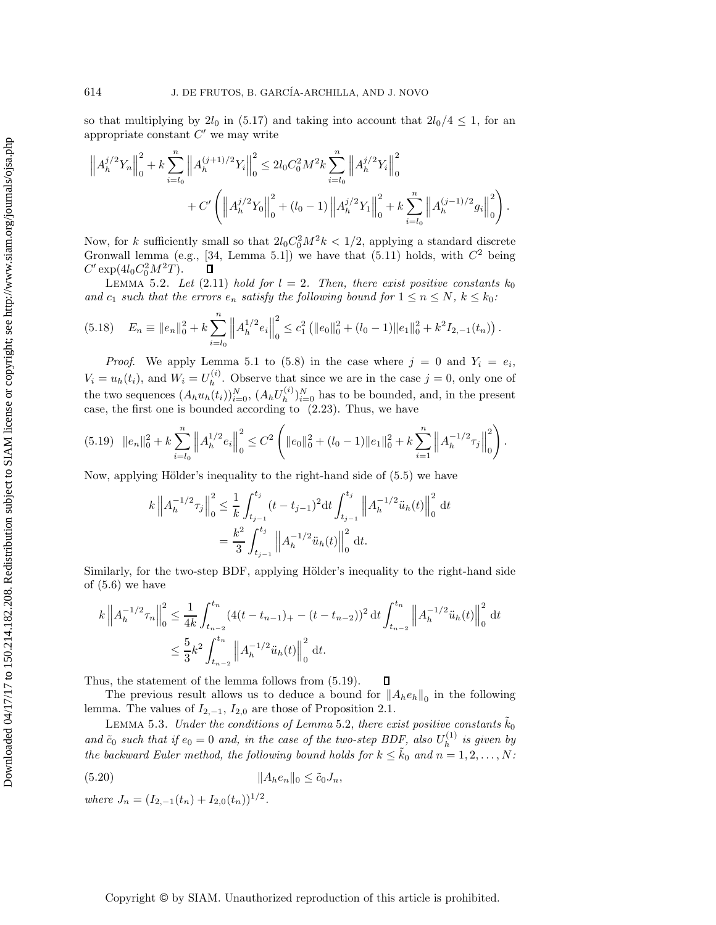so that multiplying by  $2l_0$  in (5.17) and taking into account that  $2l_0/4 \leq 1$ , for an appropriate constant  $C'$  we may write

$$
\left\|A_h^{j/2}Y_n\right\|_0^2 + k \sum_{i=l_0}^n \left\|A_h^{(j+1)/2}Y_i\right\|_0^2 \le 2l_0C_0^2M^2k \sum_{i=l_0}^n \left\|A_h^{j/2}Y_i\right\|_0^2 + C'\left(\left\|A_h^{j/2}Y_0\right\|_0^2 + (l_0-1)\left\|A_h^{j/2}Y_1\right\|_0^2 + k \sum_{i=l_0}^n \left\|A_h^{(j-1)/2}g_i\right\|_0^2\right).
$$

Now, for k sufficiently small so that  $2l_0C_0^2M^2k < 1/2$ , applying a standard discrete Gronwall lemma (e.g., [34, Lemma 5.1]) we have that  $(5.11)$  holds, with  $C<sup>2</sup>$  being  $C' \exp(4l_0 C_0^2 M^2 T).$  $\Box$ 

LEMMA 5.2. Let  $(2.11)$  *hold for*  $l = 2$ . Then, there exist positive constants  $k_0$ *and*  $c_1$  *such that the errors*  $e_n$  *satisfy the following bound for*  $1 \leq n \leq N$ ,  $k \leq k_0$ :

$$
(5.18) \t E_n \equiv ||e_n||_0^2 + k \sum_{i=l_0}^n ||A_h^{1/2} e_i||_0^2 \le c_1^2 (||e_0||_0^2 + (l_0 - 1)||e_1||_0^2 + k^2 I_{2,-1}(t_n)).
$$

*Proof.* We apply Lemma 5.1 to (5.8) in the case where  $j = 0$  and  $Y_i = e_i$ ,  $V_i = u_h(t_i)$ , and  $W_i = U_h^{(i)}$ . Observe that since we are in the case  $j = 0$ , only one of the two sequences  $(A_h u_h(t_i))_{i=0}^N$ ,  $(A_h U_h^{(i)})_{i=0}^N$  has to be bounded, and, in the present case, the first one is bounded according to (2.23). Thus, we have

$$
(5.19) \quad ||e_n||_0^2 + k \sum_{i=l_0}^n \left\| A_h^{1/2} e_i \right\|_0^2 \leq C^2 \left( ||e_0||_0^2 + (l_0 - 1)||e_1||_0^2 + k \sum_{i=1}^n \left\| A_h^{-1/2} \tau_j \right\|_0^2 \right).
$$

Now, applying Hölder's inequality to the right-hand side of  $(5.5)$  we have

$$
k \|A_h^{-1/2} \tau_j\|_0^2 \le \frac{1}{k} \int_{t_{j-1}}^{t_j} (t - t_{j-1})^2 dt \int_{t_{j-1}}^{t_j} \|A_h^{-1/2} \ddot{u}_h(t)\|_0^2 dt
$$
  
= 
$$
\frac{k^2}{3} \int_{t_{j-1}}^{t_j} \|A_h^{-1/2} \ddot{u}_h(t)\|_0^2 dt.
$$

Similarly, for the two-step BDF, applying Hölder's inequality to the right-hand side of (5.6) we have

$$
k \|A_h^{-1/2} \tau_n\|_0^2 \le \frac{1}{4k} \int_{t_{n-2}}^{t_n} (4(t - t_{n-1})_+ - (t - t_{n-2}))^2 dt \int_{t_{n-2}}^{t_n} \|A_h^{-1/2} \ddot{u}_h(t)\|_0^2 dt
$$
  

$$
\le \frac{5}{3} k^2 \int_{t_{n-2}}^{t_n} \|A_h^{-1/2} \ddot{u}_h(t)\|_0^2 dt.
$$

Thus, the statement of the lemma follows from (5.19).  $\Box$ 

The previous result allows us to deduce a bound for  $||A_he_h||_0$  in the following lemma. The values of  $I_{2,-1}$ ,  $I_{2,0}$  are those of Proposition 2.1.

LEMMA 5.3. *Under the conditions of Lemma* 5.2, *there exist positive constants*  $\tilde{k}_0$ and  $\tilde{c}_0$  *such that if*  $e_0 = 0$  *and, in the case of the two-step BDF, also*  $U_h^{(1)}$  *is given by the backward Euler method, the following bound holds for*  $k \leq \tilde{k}_0$  *and*  $n = 1, 2, ..., N$ :

$$
(5.20) \t\t\t  $||A_h e_n||_0 \le \tilde{c}_0 J_n,$
$$

where 
$$
J_n = (I_{2,-1}(t_n) + I_{2,0}(t_n))^{1/2}
$$
.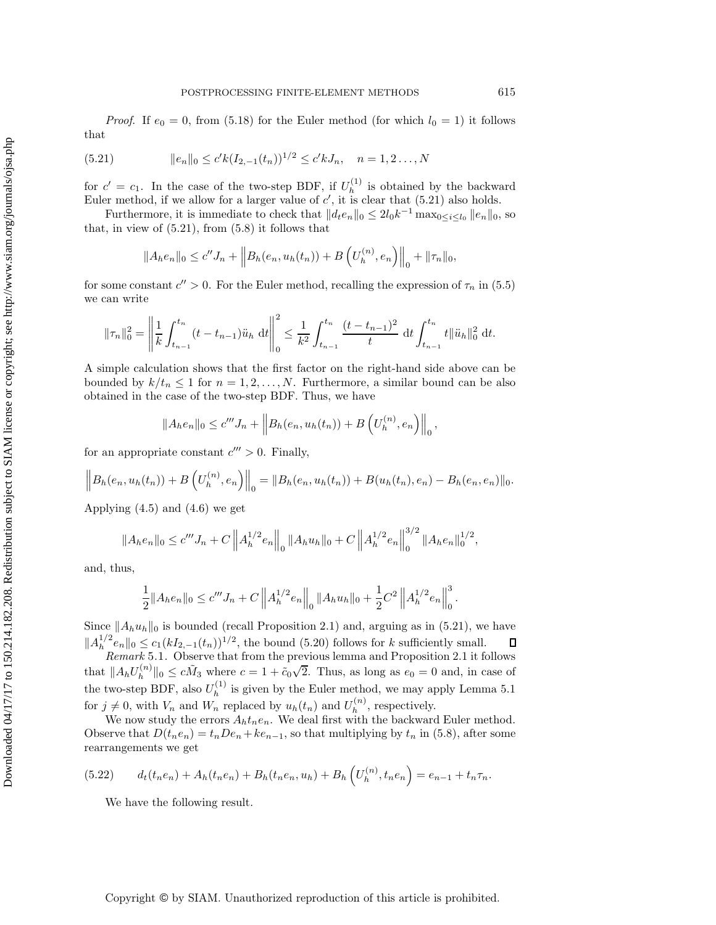*Proof.* If  $e_0 = 0$ , from (5.18) for the Euler method (for which  $l_0 = 1$ ) it follows that

(5.21) 
$$
||e_n||_0 \le c' k(I_{2,-1}(t_n))^{1/2} \le c' k J_n, \quad n = 1, 2..., N
$$

for  $c' = c_1$ . In the case of the two-step BDF, if  $U_h^{(1)}$  is obtained by the backward Euler method, if we allow for a larger value of  $c'$ , it is clear that  $(5.21)$  also holds.

Furthermore, it is immediate to check that  $|| d_t e_n ||_0 \leq 2l_0k^{-1} \max_{0 \leq i \leq l_0} ||e_n||_0$ , so that, in view of  $(5.21)$ , from  $(5.8)$  it follows that

$$
||A_h e_n||_0 \le c'' J_n + ||B_h(e_n, u_h(t_n)) + B\left(U_h^{(n)}, e_n\right)||_0 + ||\tau_n||_0,
$$

for some constant  $c'' > 0$ . For the Euler method, recalling the expression of  $\tau_n$  in (5.5) we can write

$$
\|\tau_n\|_0^2 = \left\|\frac{1}{k}\int_{t_{n-1}}^{t_n} (t - t_{n-1})\ddot{u}_h \, dt\right\|_0^2 \le \frac{1}{k^2} \int_{t_{n-1}}^{t_n} \frac{(t - t_{n-1})^2}{t} \, dt \int_{t_{n-1}}^{t_n} t \|\ddot{u}_h\|_0^2 \, dt.
$$

A simple calculation shows that the first factor on the right-hand side above can be bounded by  $k/t_n \leq 1$  for  $n = 1, 2, ..., N$ . Furthermore, a similar bound can be also obtained in the case of the two-step BDF. Thus, we have

$$
||A_h e_n||_0 \le c''' J_n + ||B_h (e_n, u_h (t_n)) + B\left(U_h^{(n)}, e_n\right)||_0,
$$

for an appropriate constant  $c''' > 0$ . Finally,

$$
\left\|B_h(e_n, u_h(t_n))+B\left(U_h^{(n)}, e_n\right)\right\|_0=\|B_h(e_n, u_h(t_n))+B(u_h(t_n), e_n)-B_h(e_n, e_n)\|_0.
$$

Applying  $(4.5)$  and  $(4.6)$  we get

$$
||A_h e_n||_0 \le c''' J_n + C \left||A_h^{1/2} e_n\right||_0 ||A_h u_h||_0 + C \left||A_h^{1/2} e_n\right||_0^{3/2} ||A_h e_n||_0^{1/2},
$$

and, thus,

$$
\frac{1}{2}||A_h e_n||_0 \le c''' J_n + C \left||A_h^{1/2} e_n\right||_0 ||A_h u_h||_0 + \frac{1}{2}C^2 \left||A_h^{1/2} e_n\right||_0^3.
$$

Since  $||A_hu_h||_0$  is bounded (recall Proposition 2.1) and, arguing as in (5.21), we have  $||A_h^{1/2}e_n||_0 \leq c_1(kI_{2,-1}(t_n))^{1/2}$ , the bound (5.20) follows for k sufficiently small.

*Remark* 5.1. Observe that from the previous lemma and Proposition 2.1 it follows that  $||A_hU_h^{(n)}||_0 \le c\tilde{M}_3$  where  $c = 1 + \tilde{c}_0\sqrt{2}$ . Thus, as long as  $e_0 = 0$  and, in case of the two-step BDF, also  $U_h^{(1)}$  is given by the Euler method, we may apply Lemma 5.1 for  $j \neq 0$ , with  $V_n$  and  $W_n$  replaced by  $u_h(t_n)$  and  $U_h^{(n)}$ , respectively.

We now study the errors  $A_h t_n e_n$ . We deal first with the backward Euler method. Observe that  $D(t_ne_n) = t_nDe_n + ke_{n-1}$ , so that multiplying by  $t_n$  in (5.8), after some rearrangements we get

$$
(5.22) \t dt(tnen) + Ah(tnen) + Bh(tnen, uh) + Bh(Uh(n), tnen) = en-1 + tnτn.
$$

We have the following result.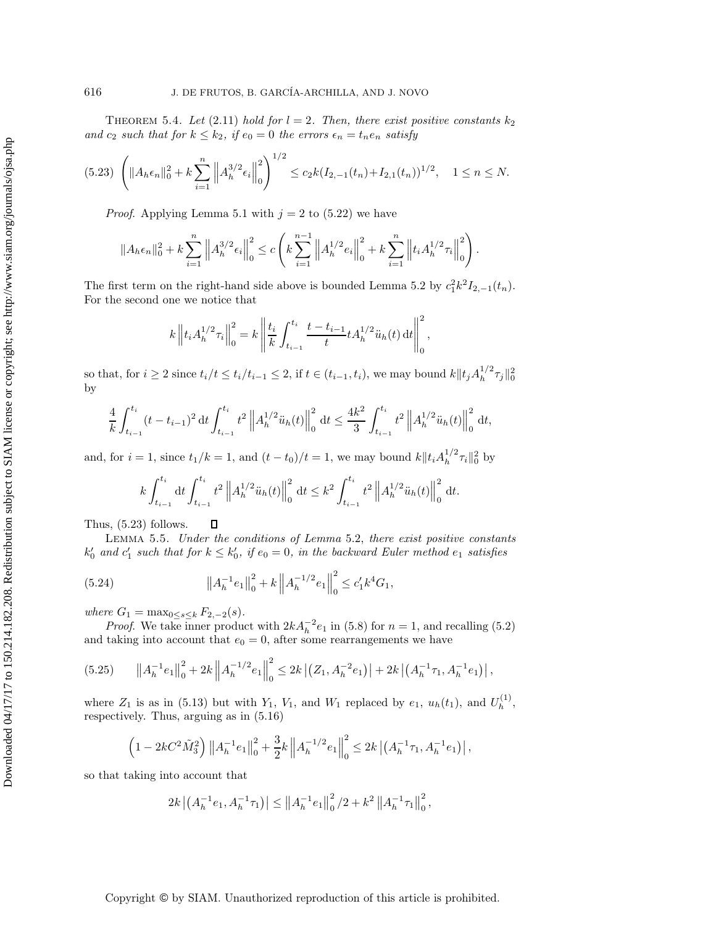THEOREM 5.4. Let  $(2.11)$  hold for  $l = 2$ . Then, there exist positive constants  $k_2$ *and*  $c_2$  *such that for*  $k \leq k_2$ *, if*  $e_0 = 0$  *the errors*  $\epsilon_n = t_n e_n$  *satisfy* 

$$
(5.23)\ \left(\|A_h\epsilon_n\|_0^2 + k\sum_{i=1}^n \left\|A_h^{3/2}\epsilon_i\right\|_0^2\right)^{1/2} \le c_2k(I_{2,-1}(t_n) + I_{2,1}(t_n))^{1/2}, \quad 1 \le n \le N.
$$

*Proof.* Applying Lemma 5.1 with  $j = 2$  to (5.22) we have

$$
||A_h \epsilon_n||_0^2 + k \sum_{i=1}^n ||A_h^{3/2} \epsilon_i||_0^2 \le c \left(k \sum_{i=1}^{n-1} ||A_h^{1/2} e_i||_0^2 + k \sum_{i=1}^n ||t_i A_h^{1/2} \tau_i||_0^2\right).
$$

The first term on the right-hand side above is bounded Lemma 5.2 by  $c_1^2 k^2 I_{2,-1}(t_n)$ . For the second one we notice that

$$
k \left\| t_i A_h^{1/2} \tau_i \right\|_0^2 = k \left\| \frac{t_i}{k} \int_{t_{i-1}}^{t_i} \frac{t - t_{i-1}}{t} t A_h^{1/2} \ddot{u}_h(t) dt \right\|_0^2,
$$

so that, for  $i \geq 2$  since  $t_i/t \leq t_i/t_{i-1} \leq 2$ , if  $t \in (t_{i-1}, t_i)$ , we may bound  $k||t_j A_h^{1/2} \tau_j||_0^2$ by

$$
\frac{4}{k} \int_{t_{i-1}}^{t_i} (t - t_{i-1})^2 dt \int_{t_{i-1}}^{t_i} t^2 \left\| A_h^{1/2} \ddot{u}_h(t) \right\|_0^2 dt \le \frac{4k^2}{3} \int_{t_{i-1}}^{t_i} t^2 \left\| A_h^{1/2} \ddot{u}_h(t) \right\|_0^2 dt,
$$

and, for  $i = 1$ , since  $t_1/k = 1$ , and  $(t - t_0)/t = 1$ , we may bound  $k||t_i A_h^{1/2} \tau_i||_0^2$  by

$$
k\int_{t_{i-1}}^{t_i} dt \int_{t_{i-1}}^{t_i} t^2 \left\|A_h^{1/2} \ddot{u}_h(t)\right\|_0^2 dt \leq k^2 \int_{t_{i-1}}^{t_i} t^2 \left\|A_h^{1/2} \ddot{u}_h(t)\right\|_0^2 dt.
$$

Thus, (5.23) follows.  $\Box$ 

Lemma 5.5. *Under the conditions of Lemma* 5.2, *there exist positive constants*  $k'_0$  and  $c'_1$  such that for  $k \leq k'_0$ , if  $e_0 = 0$ , in the backward Euler method  $e_1$  satisfies

(5.24) 
$$
\left\|A_h^{-1}e_1\right\|_0^2 + k \left\|A_h^{-1/2}e_1\right\|_0^2 \leq c_1' k^4 G_1,
$$

*where*  $G_1 = \max_{0 \le s \le k} F_{2,-2}(s)$ .

*Proof.* We take inner product with  $2kA_h^{-2}e_1$  in (5.8) for  $n = 1$ , and recalling (5.2) and taking into account that  $e_0 = 0$ , after some rearrangements we have

$$
(5.25) \t ||A_h^{-1}e_1||_0^2 + 2k ||A_h^{-1/2}e_1||_0^2 \le 2k |(Z_1, A_h^{-2}e_1)| + 2k |(A_h^{-1}\tau_1, A_h^{-1}e_1)|,
$$

where  $Z_1$  is as in (5.13) but with  $Y_1$ ,  $V_1$ , and  $W_1$  replaced by  $e_1$ ,  $u_h(t_1)$ , and  $U_h^{(1)}$ , respectively. Thus, arguing as in (5.16)

$$
\left(1 - 2kC^2\tilde{M}_3^2\right) \left\|A_h^{-1}e_1\right\|_0^2 + \frac{3}{2}k\left\|A_h^{-1/2}e_1\right\|_0^2 \le 2k\left|\left(A_h^{-1}\tau_1, A_h^{-1}e_1\right)\right|,
$$

so that taking into account that

$$
2k | \left( A_h^{-1} e_1, A_h^{-1} \tau_1 \right) | \leq \left\| A_h^{-1} e_1 \right\|_0^2 / 2 + k^2 \left\| A_h^{-1} \tau_1 \right\|_0^2,
$$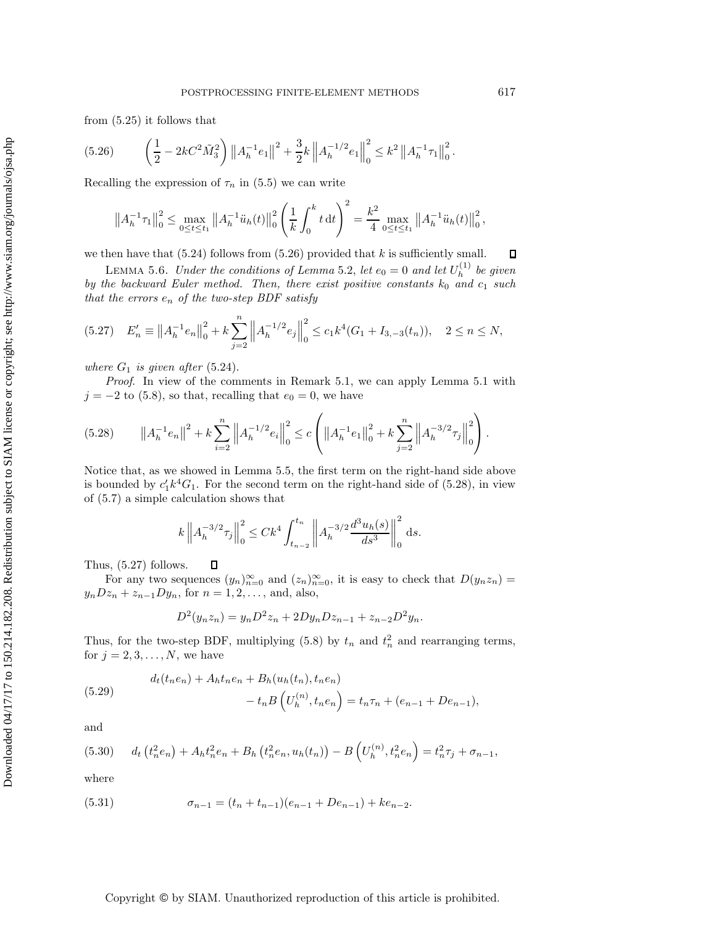$$
(5.26) \qquad \left(\frac{1}{2} - 2kC^2\tilde{M}_3^2\right) \left\|A_h^{-1}e_1\right\|^2 + \frac{3}{2}k\left\|A_h^{-1/2}e_1\right\|_0^2 \le k^2\left\|A_h^{-1}\tau_1\right\|_0^2.
$$

Recalling the expression of  $\tau_n$  in (5.5) we can write

$$
\left\|A_h^{-1}\tau_1\right\|_0^2 \le \max_{0\le t\le t_1} \left\|A_h^{-1}\ddot{u}_h(t)\right\|_0^2 \left(\frac{1}{k}\int_0^k t \,dt\right)^2 = \frac{k^2}{4}\max_{0\le t\le t_1} \left\|A_h^{-1}\ddot{u}_h(t)\right\|_0^2,
$$

we then have that  $(5.24)$  follows from  $(5.26)$  provided that k is sufficiently small.  $\Box$ 

LEMMA 5.6. *Under the conditions of Lemma* 5.2, *let*  $e_0 = 0$  *and let*  $U_h^{(1)}$  *be given by the backward Euler method. Then, there exist positive constants*  $k_0$  *and*  $c_1$  *such that the errors* e<sup>n</sup> *of the two-step BDF satisfy*

$$
(5.27) \quad E'_n \equiv \|A_h^{-1}e_n\|_0^2 + k \sum_{j=2}^n \left\|A_h^{-1/2}e_j\right\|_0^2 \le c_1 k^4 (G_1 + I_{3,-3}(t_n)), \quad 2 \le n \le N,
$$

*where*  $G_1$  *is given after* (5.24).

*Proof*. In view of the comments in Remark 5.1, we can apply Lemma 5.1 with  $j = -2$  to (5.8), so that, recalling that  $e_0 = 0$ , we have

$$
(5.28) \t||A_h^{-1}e_n||^2 + k \sum_{i=2}^n \left\|A_h^{-1/2}e_i\right\|_0^2 \le c \left(\left\|A_h^{-1}e_1\right\|_0^2 + k \sum_{j=2}^n \left\|A_h^{-3/2}\tau_j\right\|_0^2\right).
$$

Notice that, as we showed in Lemma 5.5, the first term on the right-hand side above is bounded by  $c_1' k^4 G_1$ . For the second term on the right-hand side of (5.28), in view of (5.7) a simple calculation shows that

$$
k \left\| A_h^{-3/2} \tau_j \right\|_0^2 \le C k^4 \int_{t_{n-2}}^{t_n} \left\| A_h^{-3/2} \frac{d^3 u_h(s)}{ds^3} \right\|_0^2 ds.
$$

Thus, (5.27) follows.  $\Box$ 

For any two sequences  $(y_n)_{n=0}^{\infty}$  and  $(z_n)_{n=0}^{\infty}$ , it is easy to check that  $D(y_n z_n) =$  $y_nDz_n + z_{n-1}Dy_n$ , for  $n = 1, 2, ...,$  and, also,

$$
D^{2}(y_{n}z_{n}) = y_{n}D^{2}z_{n} + 2Dy_{n}Dz_{n-1} + z_{n-2}D^{2}y_{n}.
$$

Thus, for the two-step BDF, multiplying (5.8) by  $t_n$  and  $t_n^2$  and rearranging terms, for  $j = 2, 3, \ldots, N$ , we have

(5.29) 
$$
d_t(t_n e_n) + A_h t_n e_n + B_h(u_h(t_n), t_n e_n) - t_n B\left(U_h^{(n)}, t_n e_n\right) = t_n \tau_n + (e_{n-1} + De_{n-1}),
$$

and

$$
(5.30) \t dt (tn2en) + Ahtn2en + Bh(tn2en, uh(tn)) - B (Uh(n), tn2en) = tn2τj + σn-1,
$$

where

(5.31) 
$$
\sigma_{n-1} = (t_n + t_{n-1})(e_{n-1} + De_{n-1}) + ke_{n-2}.
$$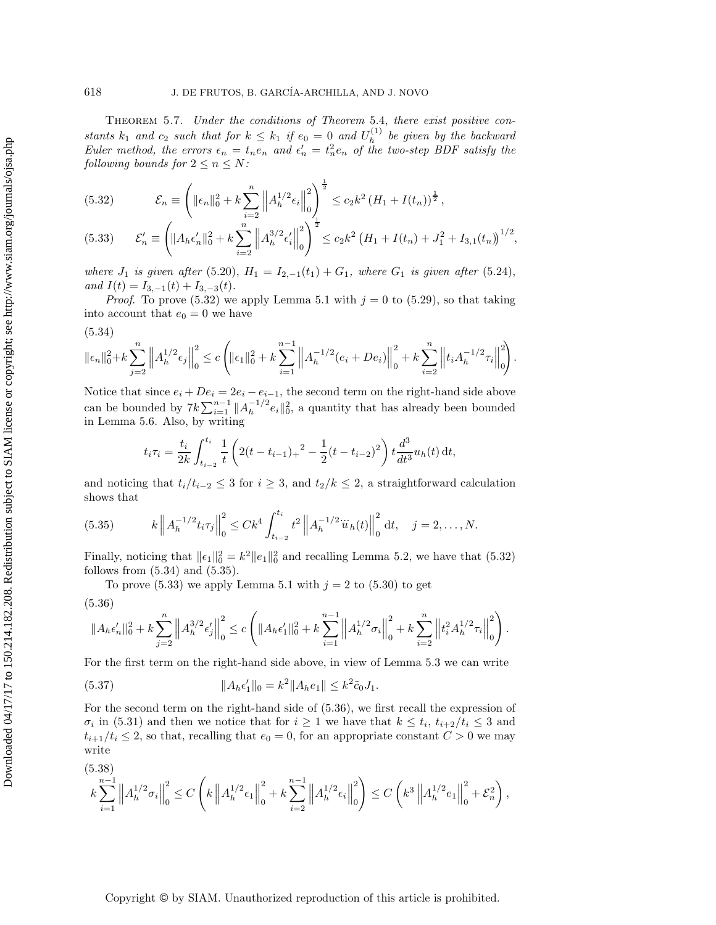Theorem 5.7. *Under the conditions of Theorem* 5.4, *there exist positive constants*  $k_1$  *and*  $c_2$  *such that for*  $k \leq k_1$  *if*  $e_0 = 0$  *and*  $U_h^{(1)}$  *be given by the backward Euler method, the errors*  $\epsilon_n = t_n e_n$  and  $\epsilon'_n = t_n^2 e_n$  of the two-step BDF satisfy the *following bounds for*  $2 \leq n \leq N$ *:* 

(5.32) 
$$
\mathcal{E}_n \equiv \left( \|\epsilon_n\|_0^2 + k \sum_{i=2}^n \left\| A_h^{1/2} \epsilon_i \right\|_0^2 \right)^{\frac{1}{2}} \le c_2 k^2 \left( H_1 + I(t_n) \right)^{\frac{1}{2}},
$$

$$
(5.33) \qquad \mathcal{E}'_n \equiv \left( \|A_h \epsilon'_n\|_0^2 + k \sum_{i=2}^n \left\|A_h^{3/2} \epsilon'_i\right\|_0^2 \right)^{\frac{1}{2}} \le c_2 k^2 \left( H_1 + I(t_n) + J_1^2 + I_{3,1}(t_n) \right)^{1/2},
$$

*where*  $J_1$  *is given after* (5.20),  $H_1 = I_{2,-1}(t_1) + G_1$ *, where*  $G_1$  *is given after* (5.24), *and*  $I(t) = I_{3,-1}(t) + I_{3,-3}(t)$ .

*Proof.* To prove (5.32) we apply Lemma 5.1 with  $j = 0$  to (5.29), so that taking into account that  $e_0 = 0$  we have

$$
(5.34)
$$

$$
\|\epsilon_n\|_0^2 + k \sum_{j=2}^n \left\|A_h^{1/2}\epsilon_j\right\|_0^2 \le c \left(\|\epsilon_1\|_0^2 + k \sum_{i=1}^{n-1} \left\|A_h^{-1/2}(e_i + De_i)\right\|_0^2 + k \sum_{i=2}^n \left\|t_i A_h^{-1/2} \tau_i\right\|_0^2\right).
$$

Notice that since  $e_i + De_i = 2e_i - e_{i-1}$ , the second term on the right-hand side above can be bounded by  $7k\sum_{i=1}^{n-1} ||A_h^{-1/2}e_i||_0^2$ , a quantity that has already been bounded in Lemma 5.6. Also, by writing

$$
t_i \tau_i = \frac{t_i}{2k} \int_{t_{i-2}}^{t_i} \frac{1}{t} \left( 2(t - t_{i-1})_+ \right)^2 - \frac{1}{2} (t - t_{i-2})^2 \right) t \frac{d^3}{dt^3} u_h(t) dt,
$$

and noticing that  $t_i/t_{i-2} \leq 3$  for  $i \geq 3$ , and  $t_2/k \leq 2$ , a straightforward calculation shows that

(5.35) 
$$
k \left\| A_h^{-1/2} t_i \tau_j \right\|_0^2 \leq C k^4 \int_{t_{i-2}}^{t_i} t^2 \left\| A_h^{-1/2} \ddot{u}_h(t) \right\|_0^2 dt, \quad j = 2, \dots, N.
$$

Finally, noticing that  $||\epsilon_1||_0^2 = k^2 ||\epsilon_1||_0^2$  and recalling Lemma 5.2, we have that (5.32) follows from (5.34) and (5.35).

To prove  $(5.33)$  we apply Lemma 5.1 with  $j = 2$  to  $(5.30)$  to get

(5.36)

$$
\|A_h\epsilon_n'\|_0^2 + k\sum_{j=2}^n\left\|A_h^{3/2}\epsilon_j'\right\|_0^2 \leq c\left(\|A_h\epsilon_1'\|_0^2 + k\sum_{i=1}^{n-1}\left\|A_h^{1/2}\sigma_i\right\|_0^2 + k\sum_{i=2}^n\left\|t_i^2A_h^{1/2}\tau_i\right\|_0^2\right)
$$

.

For the first term on the right-hand side above, in view of Lemma 5.3 we can write

(5.37) 
$$
||A_h \epsilon_1'||_0 = k^2 ||A_h e_1|| \le k^2 \tilde{c}_0 J_1.
$$

For the second term on the right-hand side of (5.36), we first recall the expression of  $\sigma_i$  in (5.31) and then we notice that for  $i \geq 1$  we have that  $k \leq t_i$ ,  $t_{i+2}/t_i \leq 3$  and  $t_{i+1}/t_i \leq 2$ , so that, recalling that  $e_0 = 0$ , for an appropriate constant  $C > 0$  we may write

$$
(5.38)
$$
  
 $k \sum_{i=1}^{n-1} ||A_h^{1/2} \sigma_i||_0^2 \le C \left( k ||A_h^{1/2} \epsilon_1||_0^2 + k \sum_{i=2}^{n-1} ||A_h^{1/2} \epsilon_i||_0^2 \right) \le C \left( k^3 ||A_h^{1/2} \epsilon_1||_0^2 + \mathcal{E}_n^2 \right),$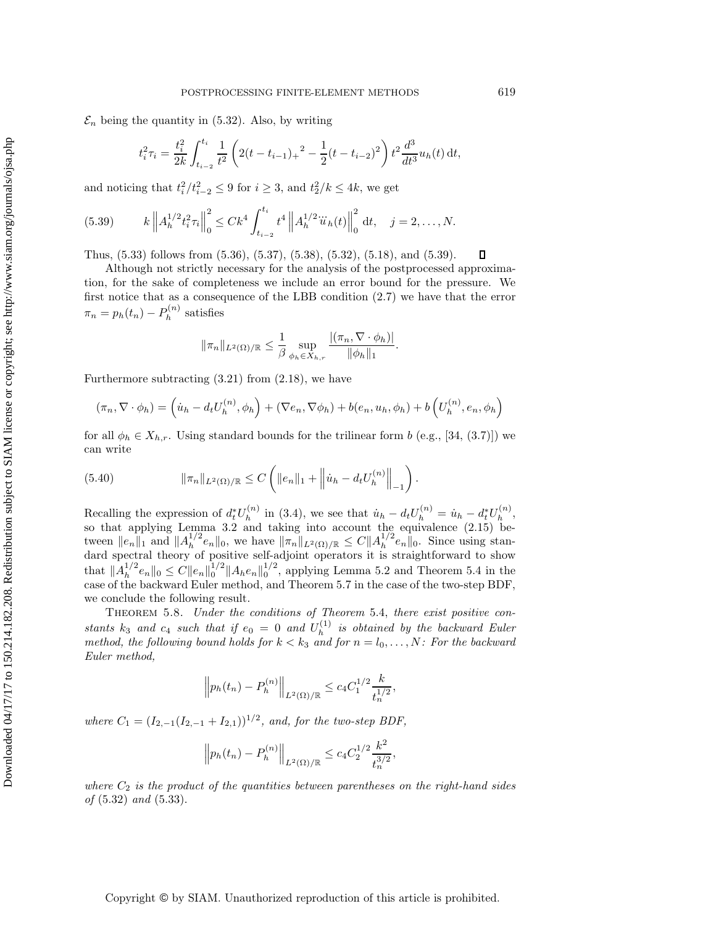$\mathcal{E}_n$  being the quantity in (5.32). Also, by writing

$$
t_i^2 \tau_i = \frac{t_i^2}{2k} \int_{t_{i-2}}^{t_i} \frac{1}{t^2} \left( 2(t - t_{i-1})_+ \right)^2 - \frac{1}{2} (t - t_{i-2})^2 \right) t^2 \frac{d^3}{dt^3} u_h(t) dt,
$$

and noticing that  $t_i^2/t_{i-2}^2 \leq 9$  for  $i \geq 3$ , and  $t_2^2/k \leq 4k$ , we get

(5.39) 
$$
k \left\| A_h^{1/2} t_i^2 \tau_i \right\|_0^2 \leq C k^4 \int_{t_{i-2}}^{t_i} t^4 \left\| A_h^{1/2} \ddot{u}_h(t) \right\|_0^2 dt, \quad j = 2, \dots, N.
$$

Thus, (5.33) follows from (5.36), (5.37), (5.38), (5.32), (5.18), and (5.39).  $\Box$ 

Although not strictly necessary for the analysis of the postprocessed approximation, for the sake of completeness we include an error bound for the pressure. We first notice that as a consequence of the LBB condition (2.7) we have that the error  $\pi_n = p_h(t_n) - P_h^{(n)}$  satisfies

$$
\|\pi_n\|_{L^2(\Omega)/\mathbb{R}} \le \frac{1}{\beta} \sup_{\phi_h \in X_{h,r}} \frac{|(\pi_n, \nabla \cdot \phi_h)|}{\|\phi_h\|_1}
$$

.

Furthermore subtracting  $(3.21)$  from  $(2.18)$ , we have

$$
(\pi_n, \nabla \cdot \phi_h) = (\dot{u}_h - d_t U_h^{(n)}, \phi_h) + (\nabla e_n, \nabla \phi_h) + b(e_n, u_h, \phi_h) + b\left(U_h^{(n)}, e_n, \phi_h\right)
$$

for all  $\phi_h \in X_{h,r}$ . Using standard bounds for the trilinear form b (e.g., [34, (3.7)]) we can write

(5.40) 
$$
\|\pi_n\|_{L^2(\Omega)/\mathbb{R}} \leq C \left( \|e_n\|_1 + \left\|\dot{u}_h - d_t U_h^{(n)}\right\|_{-1} \right).
$$

Recalling the expression of  $d_t^* U_h^{(n)}$  in (3.4), we see that  $\dot{u}_h - d_t U_h^{(n)} = \dot{u}_h - d_t^* U_h^{(n)}$ , so that applying Lemma 3.2 and taking into account the equivalence (2.15) be-<br>tween  $||e_n||_1$  and  $||A_h^{1/2}e_n||_0$ , we have  $||\pi_n||_{L^2(\Omega)/\mathbb{R}} \leq C||A_h^{1/2}e_n||_0$ . Since using standard spectral theory of positive self-adjoint operators it is straightforward to show that  $||A_h^{1/2}e_n||_0 \leq C||e_n||_0^{1/2}||A_he_n||_0^{1/2}$ , applying Lemma 5.2 and Theorem 5.4 in the case of the backward Euler method, and Theorem 5.7 in the case of the two-step BDF, we conclude the following result.

Theorem 5.8. *Under the conditions of Theorem* 5.4, *there exist positive constants*  $k_3$  *and*  $c_4$  *such that if*  $e_0 = 0$  *and*  $U_h^{(1)}$  *is obtained by the backward Euler method, the following bound holds for*  $k < k_3$  *and for*  $n = l_0, \ldots, N$ *: For the backward Euler method,*

$$
\left\| p_h(t_n) - P_h^{(n)} \right\|_{L^2(\Omega)/\mathbb{R}} \le c_4 C_1^{1/2} \frac{k}{t_n^{1/2}},
$$

*where*  $C_1 = (I_{2,-1}(I_{2,-1} + I_{2,1}))^{1/2}$ *, and, for the two-step BDF*,

$$
\left\| p_h(t_n) - P_h^{(n)} \right\|_{L^2(\Omega)/\mathbb{R}} \le c_4 C_2^{1/2} \frac{k^2}{t_n^{3/2}},
$$

*where*  $C_2$  *is the product of the quantities between parentheses on the right-hand sides of* (5.32) *and* (5.33).

Copyright © by SIAM. Unauthorized reproduction of this article is prohibited.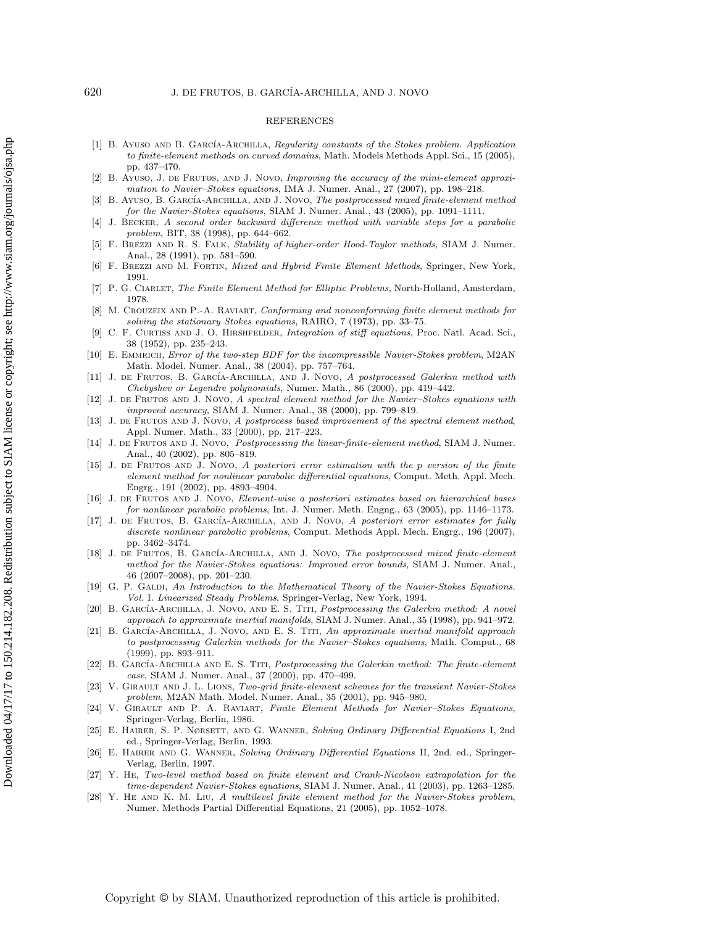#### REFERENCES

- [1] B. AYUSO AND B. GARCÍA-ARCHILLA, Regularity constants of the Stokes problem. Application to finite-element methods on curved domains, Math. Models Methods Appl. Sci., 15 (2005), pp. 437–470.
- [2] B. Ayuso, J. de Frutos, and J. Novo, Improving the accuracy of the mini-element approximation to Navier–Stokes equations, IMA J. Numer. Anal., 27 (2007), pp. 198–218.
- [3] B. AYUSO, B. GARCÍA-ARCHILLA, AND J. NOVO, The postprocessed mixed finite-element method for the Navier-Stokes equations, SIAM J. Numer. Anal., 43 (2005), pp. 1091–1111.
- [4] J. Becker, A second order backward difference method with variable steps for a parabolic problem, BIT, 38 (1998), pp. 644–662.
- [5] F. Brezzi and R. S. Falk, Stability of higher-order Hood-Taylor methods, SIAM J. Numer. Anal., 28 (1991), pp. 581–590.
- [6] F. BREZZI AND M. FORTIN, Mixed and Hybrid Finite Element Methods, Springer, New York, 1991.
- [7] P. G. CIARLET, The Finite Element Method for Elliptic Problems, North-Holland, Amsterdam, 1978.
- M. CROUZEIX AND P.-A. RAVIART, Conforming and nonconforming finite element methods for solving the stationary Stokes equations, RAIRO, 7 (1973), pp. 33–75.
- C. F. CURTISS AND J. O. HIRSHFELDER, Integration of stiff equations, Proc. Natl. Acad. Sci., 38 (1952), pp. 235–243.
- E. EMMRICH, Error of the two-step BDF for the incompressible Navier-Stokes problem, M2AN Math. Model. Numer. Anal., 38 (2004), pp. 757–764.
- [11] J. DE FRUTOS, B. GARCÍA-ARCHILLA, AND J. NOVO, A postprocessed Galerkin method with Chebyshev or Legendre polynomials, Numer. Math., 86 (2000), pp. 419–442.
- [12] J. DE FRUTOS AND J. NOVO, A spectral element method for the Navier–Stokes equations with improved accuracy, SIAM J. Numer. Anal., 38 (2000), pp. 799–819.
- [13] J. DE FRUTOS AND J. NOVO, A postprocess based improvement of the spectral element method, Appl. Numer. Math., 33 (2000), pp. 217–223.
- [14] J. DE FRUTOS AND J. NOVO, Postprocessing the linear-finite-element method, SIAM J. Numer. Anal., 40 (2002), pp. 805–819.
- [15] J. de Frutos and J. Novo, A posteriori error estimation with the *p* version of the finite element method for nonlinear parabolic differential equations, Comput. Meth. Appl. Mech. Engrg., 191 (2002), pp. 4893–4904.
- [16] J. de Frutos and J. Novo, Element-wise a posteriori estimates based on hierarchical bases for nonlinear parabolic problems, Int. J. Numer. Meth. Engng., 63 (2005), pp. 1146–1173.
- [17] J. DE FRUTOS, B. GARCÍA-ARCHILLA, AND J. NOVO, A posteriori error estimates for fully discrete nonlinear parabolic problems, Comput. Methods Appl. Mech. Engrg., 196 (2007), pp. 3462–3474.
- [18] J. DE FRUTOS, B. GARCÍA-ARCHILLA, AND J. NOVO, The postprocessed mixed finite-element method for the Navier-Stokes equations: Improved error bounds, SIAM J. Numer. Anal., 46 (2007–2008), pp. 201–230.
- [19] G. P. GALDI, An Introduction to the Mathematical Theory of the Navier-Stokes Equations. Vol. I. Linearized Steady Problems, Springer-Verlag, New York, 1994.
- [20] B. GARCÍA-ARCHILLA, J. NOVO, AND E. S. TITI, Postprocessing the Galerkin method: A novel approach to approximate inertial manifolds, SIAM J. Numer. Anal., 35 (1998), pp. 941–972.
- [21] B. GARCÍA-ARCHILLA, J. NOVO, AND E. S. TITI, An approximate inertial manifold approach to postprocessing Galerkin methods for the Navier–Stokes equations, Math. Comput., 68 (1999), pp. 893–911.
- [22] B. GARCÍA-ARCHILLA AND E. S. TITI, Postprocessing the Galerkin method: The finite-element case, SIAM J. Numer. Anal., 37 (2000), pp. 470–499.
- [23] V. GIRAULT AND J. L. LIONS, Two-grid finite-element schemes for the transient Navier-Stokes problem, M2AN Math. Model. Numer. Anal., 35 (2001), pp. 945–980.
- [24] V. Girault and P. A. Raviart, Finite Element Methods for Navier–Stokes Equations, Springer-Verlag, Berlin, 1986.
- [25] E. Hairer, S. P. Nørsett, and G. Wanner, Solving Ordinary Differential Equations I, 2nd ed., Springer-Verlag, Berlin, 1993.
- [26] E. HAIRER AND G. WANNER, Solving Ordinary Differential Equations II, 2nd. ed., Springer-Verlag, Berlin, 1997.
- [27] Y. He, Two-level method based on finite element and Crank-Nicolson extrapolation for the time-dependent Navier-Stokes equations, SIAM J. Numer. Anal., 41 (2003), pp. 1263–1285.
- [28] Y. HE AND K. M. LIU, A multilevel finite element method for the Navier-Stokes problem, Numer. Methods Partial Differential Equations, 21 (2005), pp. 1052–1078.